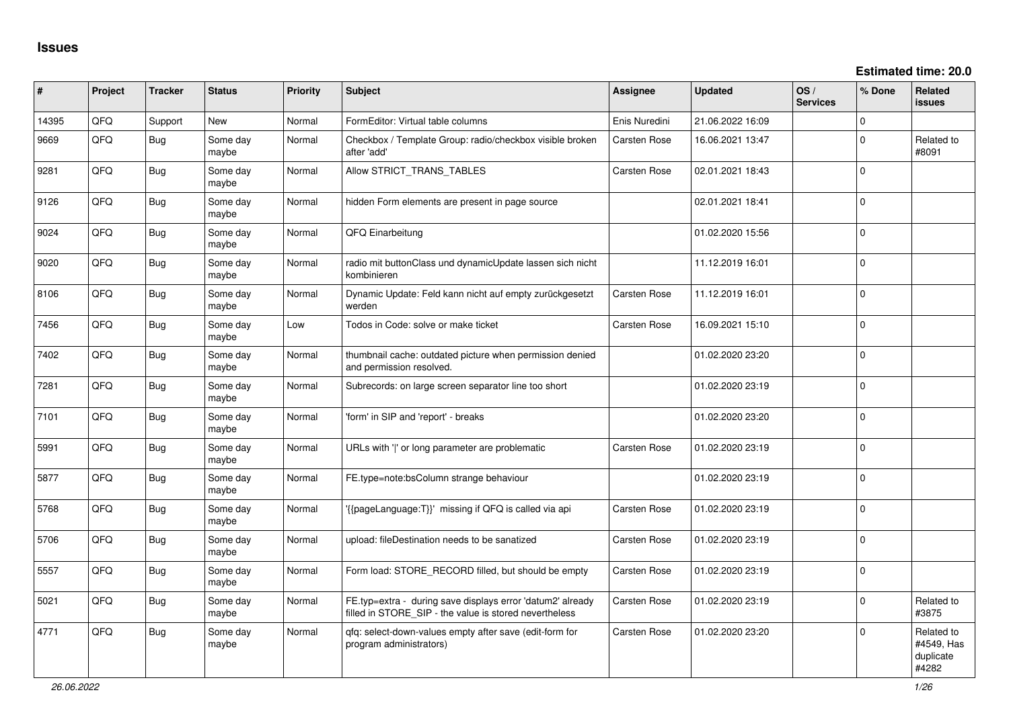| #     | Project | <b>Tracker</b> | <b>Status</b>     | <b>Priority</b> | Subject                                                                                                              | Assignee            | <b>Updated</b>   | OS/<br><b>Services</b> | % Done       | Related<br><b>issues</b>                       |
|-------|---------|----------------|-------------------|-----------------|----------------------------------------------------------------------------------------------------------------------|---------------------|------------------|------------------------|--------------|------------------------------------------------|
| 14395 | QFQ     | Support        | <b>New</b>        | Normal          | FormEditor: Virtual table columns                                                                                    | Enis Nuredini       | 21.06.2022 16:09 |                        | 0            |                                                |
| 9669  | QFQ     | Bug            | Some day<br>maybe | Normal          | Checkbox / Template Group: radio/checkbox visible broken<br>after 'add'                                              | <b>Carsten Rose</b> | 16.06.2021 13:47 |                        | 0            | Related to<br>#8091                            |
| 9281  | QFQ     | <b>Bug</b>     | Some day<br>maybe | Normal          | Allow STRICT_TRANS_TABLES                                                                                            | Carsten Rose        | 02.01.2021 18:43 |                        | $\mathbf 0$  |                                                |
| 9126  | QFQ     | <b>Bug</b>     | Some day<br>maybe | Normal          | hidden Form elements are present in page source                                                                      |                     | 02.01.2021 18:41 |                        | $\Omega$     |                                                |
| 9024  | QFQ     | <b>Bug</b>     | Some day<br>maybe | Normal          | QFQ Einarbeitung                                                                                                     |                     | 01.02.2020 15:56 |                        | 0            |                                                |
| 9020  | QFQ     | <b>Bug</b>     | Some day<br>maybe | Normal          | radio mit buttonClass und dynamicUpdate lassen sich nicht<br>kombinieren                                             |                     | 11.12.2019 16:01 |                        | $\Omega$     |                                                |
| 8106  | QFQ     | <b>Bug</b>     | Some day<br>maybe | Normal          | Dynamic Update: Feld kann nicht auf empty zurückgesetzt<br>werden                                                    | Carsten Rose        | 11.12.2019 16:01 |                        | $\mathbf 0$  |                                                |
| 7456  | QFQ     | <b>Bug</b>     | Some day<br>maybe | Low             | Todos in Code: solve or make ticket                                                                                  | Carsten Rose        | 16.09.2021 15:10 |                        | $\mathbf{0}$ |                                                |
| 7402  | QFQ     | <b>Bug</b>     | Some day<br>maybe | Normal          | thumbnail cache: outdated picture when permission denied<br>and permission resolved.                                 |                     | 01.02.2020 23:20 |                        | $\mathbf 0$  |                                                |
| 7281  | QFQ     | <b>Bug</b>     | Some day<br>maybe | Normal          | Subrecords: on large screen separator line too short                                                                 |                     | 01.02.2020 23:19 |                        | $\mathbf 0$  |                                                |
| 7101  | QFQ     | <b>Bug</b>     | Some day<br>maybe | Normal          | 'form' in SIP and 'report' - breaks                                                                                  |                     | 01.02.2020 23:20 |                        | $\mathbf 0$  |                                                |
| 5991  | QFQ     | <b>Bug</b>     | Some day<br>maybe | Normal          | URLs with ' ' or long parameter are problematic                                                                      | Carsten Rose        | 01.02.2020 23:19 |                        | $\Omega$     |                                                |
| 5877  | QFQ     | <b>Bug</b>     | Some day<br>maybe | Normal          | FE.type=note:bsColumn strange behaviour                                                                              |                     | 01.02.2020 23:19 |                        | $\mathbf 0$  |                                                |
| 5768  | QFQ     | Bug            | Some day<br>maybe | Normal          | {{pageLanguage:T}}' missing if QFQ is called via api                                                                 | Carsten Rose        | 01.02.2020 23:19 |                        | $\Omega$     |                                                |
| 5706  | QFQ     | <b>Bug</b>     | Some day<br>maybe | Normal          | upload: fileDestination needs to be sanatized                                                                        | Carsten Rose        | 01.02.2020 23:19 |                        | $\Omega$     |                                                |
| 5557  | QFQ     | <b>Bug</b>     | Some day<br>maybe | Normal          | Form load: STORE_RECORD filled, but should be empty                                                                  | Carsten Rose        | 01.02.2020 23:19 |                        | $\mathbf{0}$ |                                                |
| 5021  | QFQ     | Bug            | Some day<br>maybe | Normal          | FE.typ=extra - during save displays error 'datum2' already<br>filled in STORE_SIP - the value is stored nevertheless | <b>Carsten Rose</b> | 01.02.2020 23:19 |                        | $\mathbf 0$  | Related to<br>#3875                            |
| 4771  | QFQ     | <b>Bug</b>     | Some day<br>maybe | Normal          | gfg: select-down-values empty after save (edit-form for<br>program administrators)                                   | Carsten Rose        | 01.02.2020 23:20 |                        | $\mathbf 0$  | Related to<br>#4549, Has<br>duplicate<br>#4282 |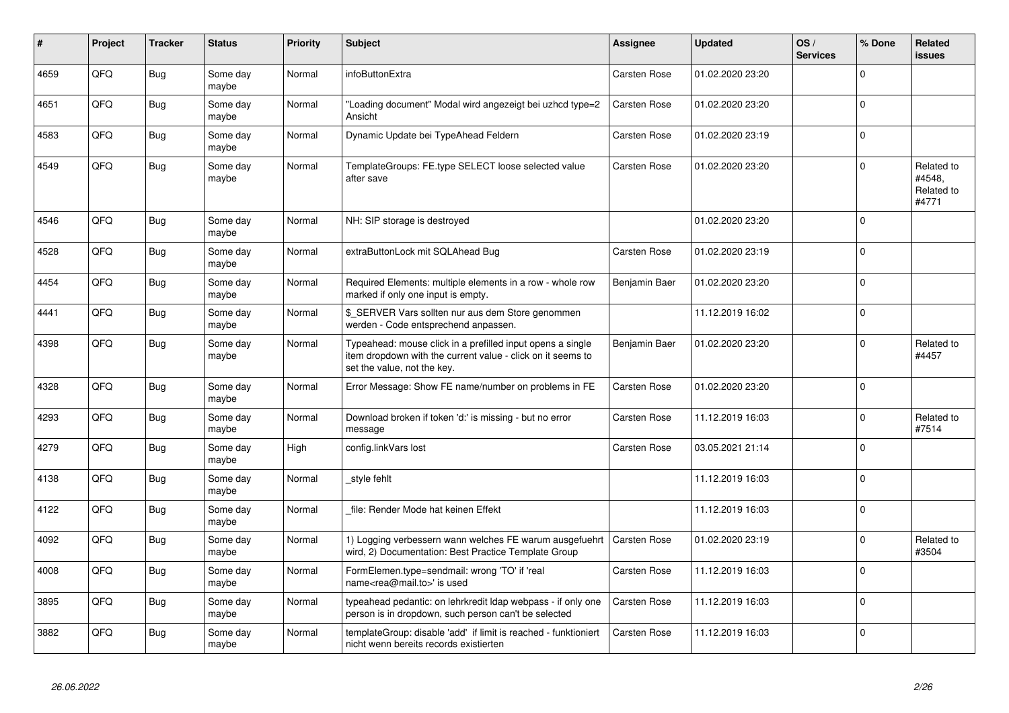| #    | Project | <b>Tracker</b> | <b>Status</b>     | <b>Priority</b> | <b>Subject</b>                                                                                                                                           | Assignee            | <b>Updated</b>   | OS/<br><b>Services</b> | % Done       | <b>Related</b><br><b>issues</b>             |
|------|---------|----------------|-------------------|-----------------|----------------------------------------------------------------------------------------------------------------------------------------------------------|---------------------|------------------|------------------------|--------------|---------------------------------------------|
| 4659 | QFQ     | <b>Bug</b>     | Some day<br>maybe | Normal          | infoButtonExtra                                                                                                                                          | <b>Carsten Rose</b> | 01.02.2020 23:20 |                        | $\Omega$     |                                             |
| 4651 | QFQ     | <b>Bug</b>     | Some day<br>maybe | Normal          | "Loading document" Modal wird angezeigt bei uzhcd type=2<br>Ansicht                                                                                      | <b>Carsten Rose</b> | 01.02.2020 23:20 |                        | $\Omega$     |                                             |
| 4583 | QFQ     | <b>Bug</b>     | Some day<br>maybe | Normal          | Dynamic Update bei TypeAhead Feldern                                                                                                                     | Carsten Rose        | 01.02.2020 23:19 |                        | $\Omega$     |                                             |
| 4549 | QFQ     | <b>Bug</b>     | Some day<br>maybe | Normal          | TemplateGroups: FE.type SELECT loose selected value<br>after save                                                                                        | <b>Carsten Rose</b> | 01.02.2020 23:20 |                        | <sup>0</sup> | Related to<br>#4548,<br>Related to<br>#4771 |
| 4546 | QFQ     | Bug            | Some day<br>maybe | Normal          | NH: SIP storage is destroyed                                                                                                                             |                     | 01.02.2020 23:20 |                        | $\Omega$     |                                             |
| 4528 | QFQ     | <b>Bug</b>     | Some day<br>maybe | Normal          | extraButtonLock mit SQLAhead Bug                                                                                                                         | <b>Carsten Rose</b> | 01.02.2020 23:19 |                        | 0            |                                             |
| 4454 | QFQ     | Bug            | Some day<br>maybe | Normal          | Required Elements: multiple elements in a row - whole row<br>marked if only one input is empty.                                                          | Benjamin Baer       | 01.02.2020 23:20 |                        | $\Omega$     |                                             |
| 4441 | QFQ     | Bug            | Some day<br>maybe | Normal          | \$ SERVER Vars sollten nur aus dem Store genommen<br>werden - Code entsprechend anpassen.                                                                |                     | 11.12.2019 16:02 |                        | $\Omega$     |                                             |
| 4398 | QFQ     | <b>Bug</b>     | Some day<br>maybe | Normal          | Typeahead: mouse click in a prefilled input opens a single<br>item dropdown with the current value - click on it seems to<br>set the value, not the key. | Benjamin Baer       | 01.02.2020 23:20 |                        | $\Omega$     | Related to<br>#4457                         |
| 4328 | QFQ     | <b>Bug</b>     | Some day<br>maybe | Normal          | Error Message: Show FE name/number on problems in FE                                                                                                     | <b>Carsten Rose</b> | 01.02.2020 23:20 |                        | $\Omega$     |                                             |
| 4293 | QFQ     | Bug            | Some day<br>maybe | Normal          | Download broken if token 'd:' is missing - but no error<br>message                                                                                       | Carsten Rose        | 11.12.2019 16:03 |                        | $\Omega$     | Related to<br>#7514                         |
| 4279 | QFQ     | Bug            | Some day<br>maybe | High            | config.linkVars lost                                                                                                                                     | <b>Carsten Rose</b> | 03.05.2021 21:14 |                        | $\Omega$     |                                             |
| 4138 | QFQ     | <b>Bug</b>     | Some day<br>maybe | Normal          | style fehlt                                                                                                                                              |                     | 11.12.2019 16:03 |                        | $\Omega$     |                                             |
| 4122 | QFQ     | <b>Bug</b>     | Some day<br>maybe | Normal          | file: Render Mode hat keinen Effekt                                                                                                                      |                     | 11.12.2019 16:03 |                        | $\Omega$     |                                             |
| 4092 | QFQ     | <b>Bug</b>     | Some day<br>maybe | Normal          | 1) Logging verbessern wann welches FE warum ausgefuehrt<br>wird, 2) Documentation: Best Practice Template Group                                          | <b>Carsten Rose</b> | 01.02.2020 23:19 |                        | $\Omega$     | Related to<br>#3504                         |
| 4008 | QFQ     | <b>Bug</b>     | Some day<br>maybe | Normal          | FormElemen.type=sendmail: wrong 'TO' if 'real<br>name <rea@mail.to>' is used</rea@mail.to>                                                               | Carsten Rose        | 11.12.2019 16:03 |                        | $\Omega$     |                                             |
| 3895 | QFQ     | Bug            | Some day<br>maybe | Normal          | typeahead pedantic: on lehrkredit Idap webpass - if only one<br>person is in dropdown, such person can't be selected                                     | <b>Carsten Rose</b> | 11.12.2019 16:03 |                        | $\mathbf 0$  |                                             |
| 3882 | QFQ     | <b>Bug</b>     | Some day<br>maybe | Normal          | templateGroup: disable 'add' if limit is reached - funktioniert<br>nicht wenn bereits records existierten                                                | Carsten Rose        | 11.12.2019 16:03 |                        | $\Omega$     |                                             |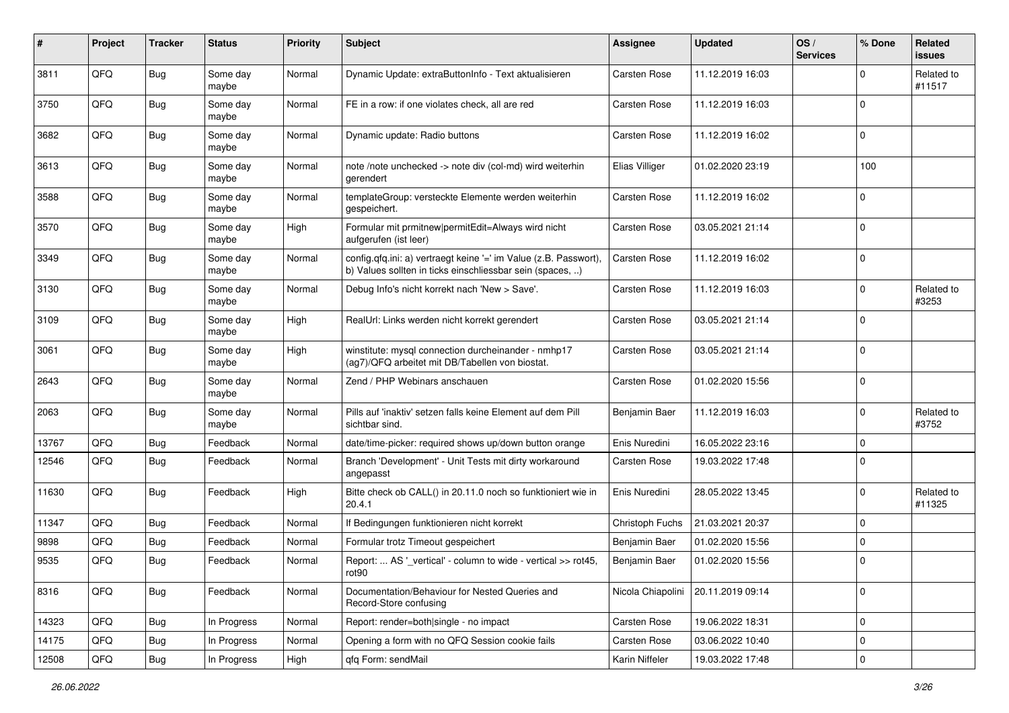| #     | Project | <b>Tracker</b> | <b>Status</b>     | <b>Priority</b> | <b>Subject</b>                                                                                                                | <b>Assignee</b>     | <b>Updated</b>   | OS/<br><b>Services</b> | % Done      | Related<br>issues    |
|-------|---------|----------------|-------------------|-----------------|-------------------------------------------------------------------------------------------------------------------------------|---------------------|------------------|------------------------|-------------|----------------------|
| 3811  | QFQ     | <b>Bug</b>     | Some day<br>maybe | Normal          | Dynamic Update: extraButtonInfo - Text aktualisieren                                                                          | <b>Carsten Rose</b> | 11.12.2019 16:03 |                        | $\Omega$    | Related to<br>#11517 |
| 3750  | QFQ     | <b>Bug</b>     | Some day<br>maybe | Normal          | FE in a row: if one violates check, all are red                                                                               | <b>Carsten Rose</b> | 11.12.2019 16:03 |                        | $\mathbf 0$ |                      |
| 3682  | QFQ     | <b>Bug</b>     | Some day<br>maybe | Normal          | Dynamic update: Radio buttons                                                                                                 | Carsten Rose        | 11.12.2019 16:02 |                        | 0           |                      |
| 3613  | QFQ     | <b>Bug</b>     | Some day<br>maybe | Normal          | note /note unchecked -> note div (col-md) wird weiterhin<br>gerendert                                                         | Elias Villiger      | 01.02.2020 23:19 |                        | 100         |                      |
| 3588  | QFQ     | <b>Bug</b>     | Some day<br>maybe | Normal          | templateGroup: versteckte Elemente werden weiterhin<br>gespeichert.                                                           | Carsten Rose        | 11.12.2019 16:02 |                        | $\mathbf 0$ |                      |
| 3570  | QFQ     | Bug            | Some day<br>maybe | High            | Formular mit prmitnew permitEdit=Always wird nicht<br>aufgerufen (ist leer)                                                   | <b>Carsten Rose</b> | 03.05.2021 21:14 |                        | $\Omega$    |                      |
| 3349  | QFQ     | Bug            | Some day<br>maybe | Normal          | config.qfq.ini: a) vertraegt keine '=' im Value (z.B. Passwort),<br>b) Values sollten in ticks einschliessbar sein (spaces, ) | <b>Carsten Rose</b> | 11.12.2019 16:02 |                        | $\Omega$    |                      |
| 3130  | QFQ     | Bug            | Some day<br>maybe | Normal          | Debug Info's nicht korrekt nach 'New > Save'.                                                                                 | Carsten Rose        | 11.12.2019 16:03 |                        | $\Omega$    | Related to<br>#3253  |
| 3109  | QFQ     | <b>Bug</b>     | Some day<br>maybe | High            | RealUrl: Links werden nicht korrekt gerendert                                                                                 | <b>Carsten Rose</b> | 03.05.2021 21:14 |                        | 0           |                      |
| 3061  | QFQ     | <b>Bug</b>     | Some day<br>maybe | High            | winstitute: mysql connection durcheinander - nmhp17<br>(ag7)/QFQ arbeitet mit DB/Tabellen von biostat.                        | Carsten Rose        | 03.05.2021 21:14 |                        | $\Omega$    |                      |
| 2643  | QFQ     | Bug            | Some day<br>maybe | Normal          | Zend / PHP Webinars anschauen                                                                                                 | <b>Carsten Rose</b> | 01.02.2020 15:56 |                        | 0           |                      |
| 2063  | QFQ     | <b>Bug</b>     | Some day<br>maybe | Normal          | Pills auf 'inaktiv' setzen falls keine Element auf dem Pill<br>sichtbar sind.                                                 | Benjamin Baer       | 11.12.2019 16:03 |                        | 0           | Related to<br>#3752  |
| 13767 | QFQ     | <b>Bug</b>     | Feedback          | Normal          | date/time-picker: required shows up/down button orange                                                                        | Enis Nuredini       | 16.05.2022 23:16 |                        | $\mathbf 0$ |                      |
| 12546 | QFQ     | <b>Bug</b>     | Feedback          | Normal          | Branch 'Development' - Unit Tests mit dirty workaround<br>angepasst                                                           | Carsten Rose        | 19.03.2022 17:48 |                        | $\Omega$    |                      |
| 11630 | QFQ     | Bug            | Feedback          | High            | Bitte check ob CALL() in 20.11.0 noch so funktioniert wie in<br>20.4.1                                                        | Enis Nuredini       | 28.05.2022 13:45 |                        | $\Omega$    | Related to<br>#11325 |
| 11347 | QFQ     | <b>Bug</b>     | Feedback          | Normal          | If Bedingungen funktionieren nicht korrekt                                                                                    | Christoph Fuchs     | 21.03.2021 20:37 |                        | $\Omega$    |                      |
| 9898  | QFQ     | <b>Bug</b>     | Feedback          | Normal          | Formular trotz Timeout gespeichert                                                                                            | Benjamin Baer       | 01.02.2020 15:56 |                        | $\mathbf 0$ |                      |
| 9535  | QFQ     | <b>Bug</b>     | Feedback          | Normal          | Report:  AS '_vertical' - column to wide - vertical >> rot45,<br>rot90                                                        | Benjamin Baer       | 01.02.2020 15:56 |                        | l 0         |                      |
| 8316  | QFQ     | <b>Bug</b>     | Feedback          | Normal          | Documentation/Behaviour for Nested Queries and<br>Record-Store confusing                                                      | Nicola Chiapolini   | 20.11.2019 09:14 |                        | 0           |                      |
| 14323 | QFQ     | <b>Bug</b>     | In Progress       | Normal          | Report: render=both single - no impact                                                                                        | Carsten Rose        | 19.06.2022 18:31 |                        | 0           |                      |
| 14175 | QFQ     | Bug            | In Progress       | Normal          | Opening a form with no QFQ Session cookie fails                                                                               | <b>Carsten Rose</b> | 03.06.2022 10:40 |                        | 0           |                      |
| 12508 | QFQ     | Bug            | In Progress       | High            | qfq Form: sendMail                                                                                                            | Karin Niffeler      | 19.03.2022 17:48 |                        | 0           |                      |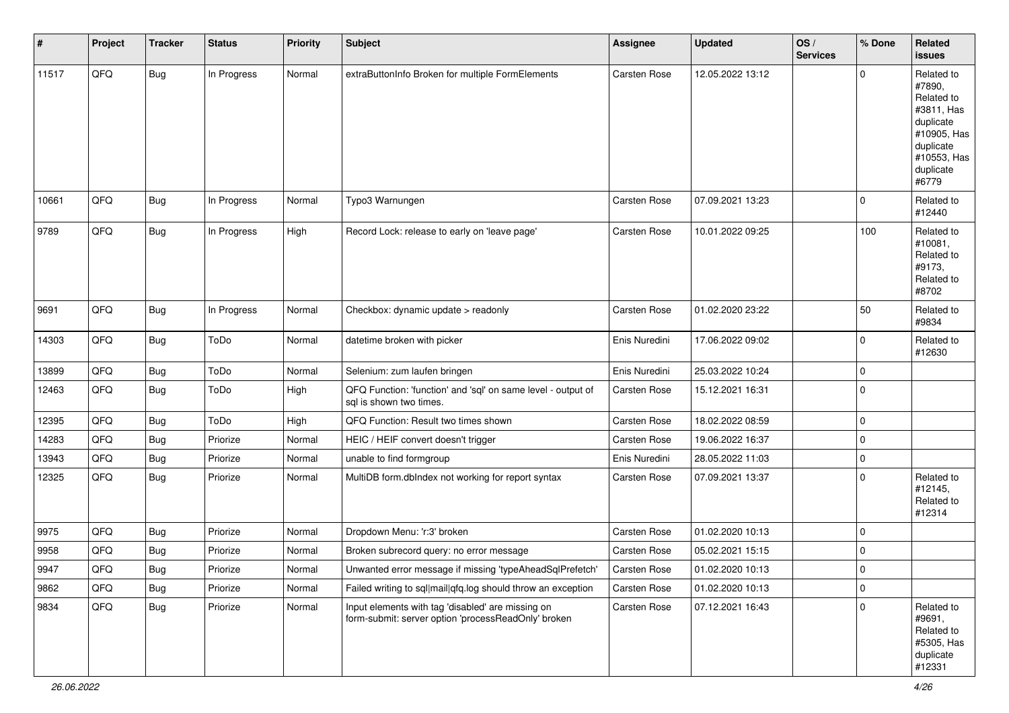| #     | Project        | <b>Tracker</b> | <b>Status</b> | <b>Priority</b> | Subject                                                                                                  | <b>Assignee</b>     | Updated          | OS/<br><b>Services</b> | % Done      | Related<br>issues                                                                                                              |
|-------|----------------|----------------|---------------|-----------------|----------------------------------------------------------------------------------------------------------|---------------------|------------------|------------------------|-------------|--------------------------------------------------------------------------------------------------------------------------------|
| 11517 | QFQ            | <b>Bug</b>     | In Progress   | Normal          | extraButtonInfo Broken for multiple FormElements                                                         | Carsten Rose        | 12.05.2022 13:12 |                        | $\Omega$    | Related to<br>#7890.<br>Related to<br>#3811, Has<br>duplicate<br>#10905, Has<br>duplicate<br>#10553, Has<br>duplicate<br>#6779 |
| 10661 | QFQ            | <b>Bug</b>     | In Progress   | Normal          | Typo3 Warnungen                                                                                          | <b>Carsten Rose</b> | 07.09.2021 13:23 |                        | $\mathbf 0$ | Related to<br>#12440                                                                                                           |
| 9789  | QFQ            | <b>Bug</b>     | In Progress   | High            | Record Lock: release to early on 'leave page'                                                            | <b>Carsten Rose</b> | 10.01.2022 09:25 |                        | 100         | Related to<br>#10081,<br>Related to<br>#9173,<br>Related to<br>#8702                                                           |
| 9691  | QFQ            | <b>Bug</b>     | In Progress   | Normal          | Checkbox: dynamic update > readonly                                                                      | <b>Carsten Rose</b> | 01.02.2020 23:22 |                        | 50          | Related to<br>#9834                                                                                                            |
| 14303 | QFQ            | <b>Bug</b>     | ToDo          | Normal          | datetime broken with picker                                                                              | Enis Nuredini       | 17.06.2022 09:02 |                        | $\mathbf 0$ | Related to<br>#12630                                                                                                           |
| 13899 | QFQ            | <b>Bug</b>     | ToDo          | Normal          | Selenium: zum laufen bringen                                                                             | Enis Nuredini       | 25.03.2022 10:24 |                        | $\mathbf 0$ |                                                                                                                                |
| 12463 | QFQ            | <b>Bug</b>     | ToDo          | High            | QFQ Function: 'function' and 'sql' on same level - output of<br>sql is shown two times.                  | Carsten Rose        | 15.12.2021 16:31 |                        | 0           |                                                                                                                                |
| 12395 | QFQ            | Bug            | ToDo          | High            | QFQ Function: Result two times shown                                                                     | Carsten Rose        | 18.02.2022 08:59 |                        | $\mathbf 0$ |                                                                                                                                |
| 14283 | QFQ            | <b>Bug</b>     | Priorize      | Normal          | HEIC / HEIF convert doesn't trigger                                                                      | <b>Carsten Rose</b> | 19.06.2022 16:37 |                        | 0           |                                                                                                                                |
| 13943 | QFQ            | Bug            | Priorize      | Normal          | unable to find formgroup                                                                                 | Enis Nuredini       | 28.05.2022 11:03 |                        | $\mathbf 0$ |                                                                                                                                |
| 12325 | QFQ            | <b>Bug</b>     | Priorize      | Normal          | MultiDB form.dblndex not working for report syntax                                                       | <b>Carsten Rose</b> | 07.09.2021 13:37 |                        | $\mathbf 0$ | Related to<br>#12145,<br>Related to<br>#12314                                                                                  |
| 9975  | QFQ            | Bug            | Priorize      | Normal          | Dropdown Menu: 'r:3' broken                                                                              | <b>Carsten Rose</b> | 01.02.2020 10:13 |                        | $\mathbf 0$ |                                                                                                                                |
| 9958  | QFQ            | <b>Bug</b>     | Priorize      | Normal          | Broken subrecord query: no error message                                                                 | Carsten Rose        | 05.02.2021 15:15 |                        | 0           |                                                                                                                                |
| 9947  | $\mathsf{QFQ}$ | Bug            | Priorize      | Normal          | Unwanted error message if missing 'typeAheadSqlPrefetch'                                                 | Carsten Rose        | 01.02.2020 10:13 |                        | 0           |                                                                                                                                |
| 9862  | QFQ            | <b>Bug</b>     | Priorize      | Normal          | Failed writing to sql mail qfq.log should throw an exception                                             | <b>Carsten Rose</b> | 01.02.2020 10:13 |                        | 0           |                                                                                                                                |
| 9834  | QFQ            | <b>Bug</b>     | Priorize      | Normal          | Input elements with tag 'disabled' are missing on<br>form-submit: server option 'processReadOnly' broken | Carsten Rose        | 07.12.2021 16:43 |                        | $\mathbf 0$ | Related to<br>#9691,<br>Related to<br>#5305, Has<br>duplicate<br>#12331                                                        |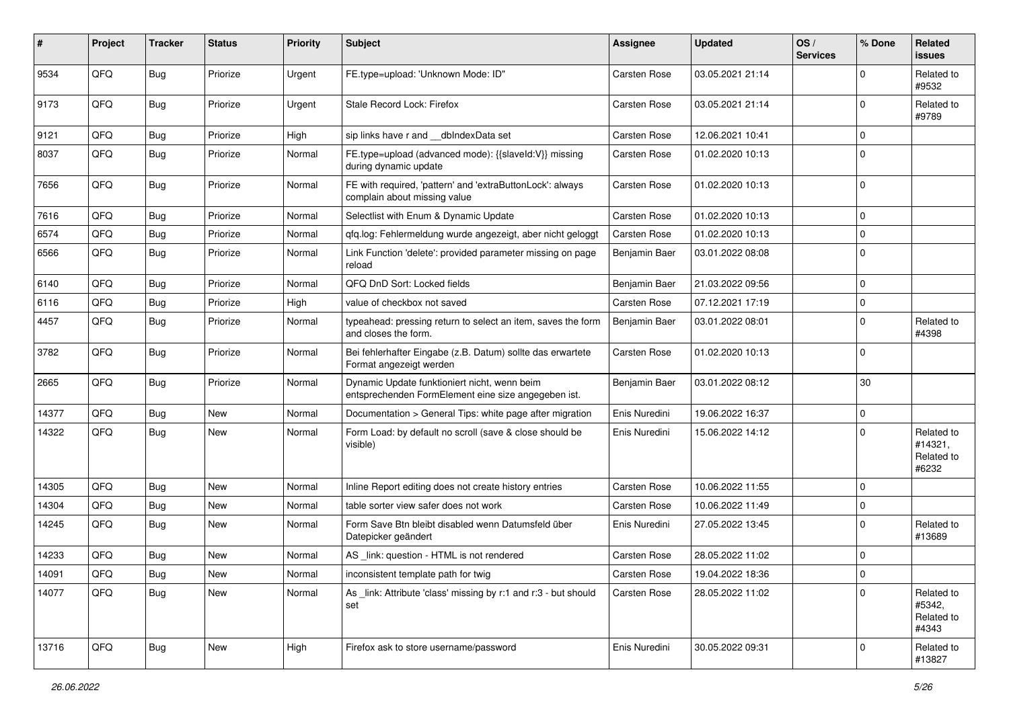| ∦     | Project | <b>Tracker</b> | <b>Status</b> | <b>Priority</b> | <b>Subject</b>                                                                                      | <b>Assignee</b>     | <b>Updated</b>   | OS/<br><b>Services</b> | % Done      | Related<br>issues                            |
|-------|---------|----------------|---------------|-----------------|-----------------------------------------------------------------------------------------------------|---------------------|------------------|------------------------|-------------|----------------------------------------------|
| 9534  | QFQ     | Bug            | Priorize      | Urgent          | FE.type=upload: 'Unknown Mode: ID"                                                                  | <b>Carsten Rose</b> | 03.05.2021 21:14 |                        | $\Omega$    | Related to<br>#9532                          |
| 9173  | QFQ     | Bug            | Priorize      | Urgent          | Stale Record Lock: Firefox                                                                          | <b>Carsten Rose</b> | 03.05.2021 21:14 |                        | $\Omega$    | Related to<br>#9789                          |
| 9121  | QFQ     | Bug            | Priorize      | High            | sip links have r and __dbIndexData set                                                              | <b>Carsten Rose</b> | 12.06.2021 10:41 |                        | $\Omega$    |                                              |
| 8037  | QFQ     | Bug            | Priorize      | Normal          | FE.type=upload (advanced mode): {{slaveId:V}} missing<br>during dynamic update                      | <b>Carsten Rose</b> | 01.02.2020 10:13 |                        | $\Omega$    |                                              |
| 7656  | QFQ     | <b>Bug</b>     | Priorize      | Normal          | FE with required, 'pattern' and 'extraButtonLock': always<br>complain about missing value           | <b>Carsten Rose</b> | 01.02.2020 10:13 |                        | $\Omega$    |                                              |
| 7616  | QFQ     | <b>Bug</b>     | Priorize      | Normal          | Selectlist with Enum & Dynamic Update                                                               | <b>Carsten Rose</b> | 01.02.2020 10:13 |                        | $\mathbf 0$ |                                              |
| 6574  | QFQ     | <b>Bug</b>     | Priorize      | Normal          | qfq.log: Fehlermeldung wurde angezeigt, aber nicht geloggt                                          | <b>Carsten Rose</b> | 01.02.2020 10:13 |                        | $\Omega$    |                                              |
| 6566  | QFQ     | <b>Bug</b>     | Priorize      | Normal          | Link Function 'delete': provided parameter missing on page<br>reload                                | Benjamin Baer       | 03.01.2022 08:08 |                        | $\Omega$    |                                              |
| 6140  | QFQ     | Bug            | Priorize      | Normal          | QFQ DnD Sort: Locked fields                                                                         | Benjamin Baer       | 21.03.2022 09:56 |                        | $\Omega$    |                                              |
| 6116  | QFQ     | <b>Bug</b>     | Priorize      | High            | value of checkbox not saved                                                                         | <b>Carsten Rose</b> | 07.12.2021 17:19 |                        | $\Omega$    |                                              |
| 4457  | QFQ     | Bug            | Priorize      | Normal          | typeahead: pressing return to select an item, saves the form<br>and closes the form.                | Benjamin Baer       | 03.01.2022 08:01 |                        | $\Omega$    | Related to<br>#4398                          |
| 3782  | QFQ     | <b>Bug</b>     | Priorize      | Normal          | Bei fehlerhafter Eingabe (z.B. Datum) sollte das erwartete<br>Format angezeigt werden               | <b>Carsten Rose</b> | 01.02.2020 10:13 |                        | $\mathbf 0$ |                                              |
| 2665  | QFQ     | <b>Bug</b>     | Priorize      | Normal          | Dynamic Update funktioniert nicht, wenn beim<br>entsprechenden FormElement eine size angegeben ist. | Benjamin Baer       | 03.01.2022 08:12 |                        | 30          |                                              |
| 14377 | QFQ     | Bug            | <b>New</b>    | Normal          | Documentation > General Tips: white page after migration                                            | Enis Nuredini       | 19.06.2022 16:37 |                        | $\mathbf 0$ |                                              |
| 14322 | QFQ     | <b>Bug</b>     | <b>New</b>    | Normal          | Form Load: by default no scroll (save & close should be<br>visible)                                 | Enis Nuredini       | 15.06.2022 14:12 |                        | $\Omega$    | Related to<br>#14321,<br>Related to<br>#6232 |
| 14305 | QFQ     | <b>Bug</b>     | New           | Normal          | Inline Report editing does not create history entries                                               | <b>Carsten Rose</b> | 10.06.2022 11:55 |                        | $\Omega$    |                                              |
| 14304 | QFQ     | Bug            | New           | Normal          | table sorter view safer does not work                                                               | <b>Carsten Rose</b> | 10.06.2022 11:49 |                        | 0           |                                              |
| 14245 | QFQ     | <b>Bug</b>     | <b>New</b>    | Normal          | Form Save Btn bleibt disabled wenn Datumsfeld über<br>Datepicker geändert                           | Enis Nuredini       | 27.05.2022 13:45 |                        | $\Omega$    | Related to<br>#13689                         |
| 14233 | QFQ     | <b>Bug</b>     | <b>New</b>    | Normal          | AS _link: question - HTML is not rendered                                                           | <b>Carsten Rose</b> | 28.05.2022 11:02 |                        | $\Omega$    |                                              |
| 14091 | QFQ     | <b>Bug</b>     | New           | Normal          | inconsistent template path for twig                                                                 | Carsten Rose        | 19.04.2022 18:36 |                        | 0           |                                              |
| 14077 | QFQ     | <b>Bug</b>     | New           | Normal          | As link: Attribute 'class' missing by r:1 and r:3 - but should<br>set                               | Carsten Rose        | 28.05.2022 11:02 |                        | $\Omega$    | Related to<br>#5342,<br>Related to<br>#4343  |
| 13716 | QFO     | <b>Bug</b>     | New           | High            | Firefox ask to store username/password                                                              | Enis Nuredini       | 30.05.2022 09:31 |                        | 0           | Related to<br>#13827                         |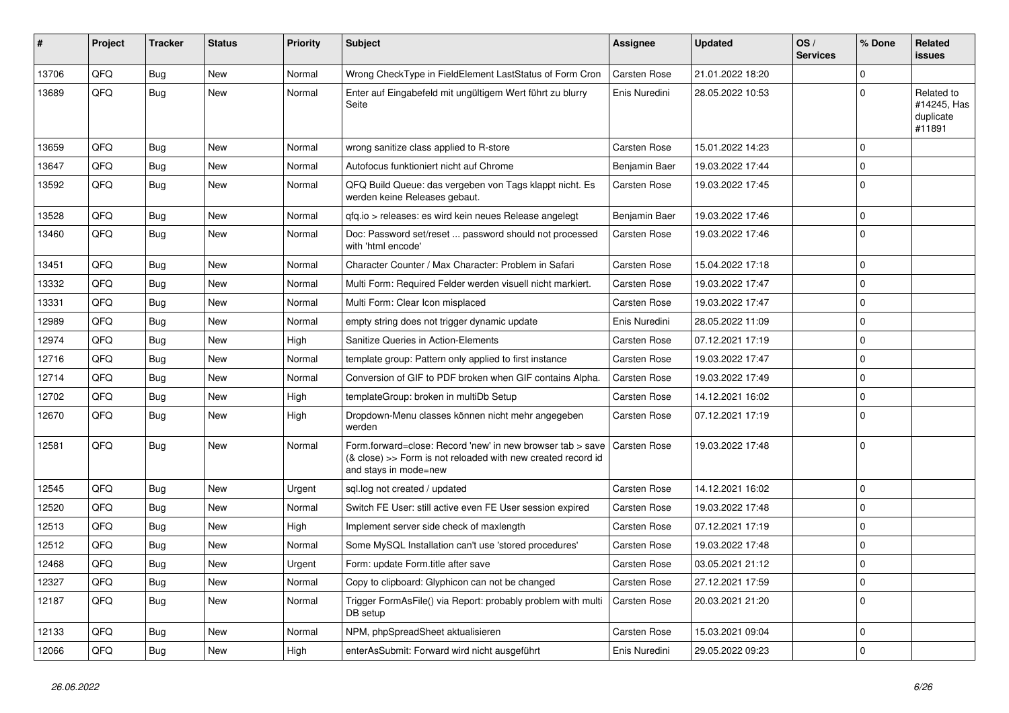| #     | Project | <b>Tracker</b> | <b>Status</b> | <b>Priority</b> | <b>Subject</b>                                                                                                                                      | Assignee            | <b>Updated</b>   | OS/<br><b>Services</b> | % Done      | Related<br>issues                                |
|-------|---------|----------------|---------------|-----------------|-----------------------------------------------------------------------------------------------------------------------------------------------------|---------------------|------------------|------------------------|-------------|--------------------------------------------------|
| 13706 | QFQ     | Bug            | <b>New</b>    | Normal          | Wrong CheckType in FieldElement LastStatus of Form Cron                                                                                             | <b>Carsten Rose</b> | 21.01.2022 18:20 |                        | $\Omega$    |                                                  |
| 13689 | QFQ     | Bug            | New           | Normal          | Enter auf Eingabefeld mit ungültigem Wert führt zu blurry<br>Seite                                                                                  | Enis Nuredini       | 28.05.2022 10:53 |                        | $\Omega$    | Related to<br>#14245, Has<br>duplicate<br>#11891 |
| 13659 | QFQ     | Bug            | New           | Normal          | wrong sanitize class applied to R-store                                                                                                             | Carsten Rose        | 15.01.2022 14:23 |                        | $\Omega$    |                                                  |
| 13647 | QFQ     | <b>Bug</b>     | <b>New</b>    | Normal          | Autofocus funktioniert nicht auf Chrome                                                                                                             | Benjamin Baer       | 19.03.2022 17:44 |                        | $\Omega$    |                                                  |
| 13592 | QFQ     | Bug            | New           | Normal          | QFQ Build Queue: das vergeben von Tags klappt nicht. Es<br>werden keine Releases gebaut.                                                            | Carsten Rose        | 19.03.2022 17:45 |                        | $\Omega$    |                                                  |
| 13528 | QFQ     | <b>Bug</b>     | New           | Normal          | gfg.io > releases: es wird kein neues Release angelegt                                                                                              | Benjamin Baer       | 19.03.2022 17:46 |                        | l 0         |                                                  |
| 13460 | QFQ     | Bug            | New           | Normal          | Doc: Password set/reset  password should not processed<br>with 'html encode'                                                                        | Carsten Rose        | 19.03.2022 17:46 |                        | $\Omega$    |                                                  |
| 13451 | QFQ     | Bug            | <b>New</b>    | Normal          | Character Counter / Max Character: Problem in Safari                                                                                                | <b>Carsten Rose</b> | 15.04.2022 17:18 |                        | $\Omega$    |                                                  |
| 13332 | QFQ     | <b>Bug</b>     | New           | Normal          | Multi Form: Required Felder werden visuell nicht markiert.                                                                                          | Carsten Rose        | 19.03.2022 17:47 |                        | $\Omega$    |                                                  |
| 13331 | QFQ     | Bug            | New           | Normal          | Multi Form: Clear Icon misplaced                                                                                                                    | Carsten Rose        | 19.03.2022 17:47 |                        | $\Omega$    |                                                  |
| 12989 | QFQ     | Bug            | New           | Normal          | empty string does not trigger dynamic update                                                                                                        | Enis Nuredini       | 28.05.2022 11:09 |                        | $\Omega$    |                                                  |
| 12974 | QFQ     | <b>Bug</b>     | <b>New</b>    | High            | Sanitize Queries in Action-Elements                                                                                                                 | Carsten Rose        | 07.12.2021 17:19 |                        | $\Omega$    |                                                  |
| 12716 | QFQ     | <b>Bug</b>     | <b>New</b>    | Normal          | template group: Pattern only applied to first instance                                                                                              | <b>Carsten Rose</b> | 19.03.2022 17:47 |                        | $\Omega$    |                                                  |
| 12714 | QFQ     | <b>Bug</b>     | <b>New</b>    | Normal          | Conversion of GIF to PDF broken when GIF contains Alpha.                                                                                            | <b>Carsten Rose</b> | 19.03.2022 17:49 |                        | $\Omega$    |                                                  |
| 12702 | QFQ     | <b>Bug</b>     | <b>New</b>    | High            | templateGroup: broken in multiDb Setup                                                                                                              | Carsten Rose        | 14.12.2021 16:02 |                        | $\Omega$    |                                                  |
| 12670 | OFQ     | <b>Bug</b>     | <b>New</b>    | High            | Dropdown-Menu classes können nicht mehr angegeben<br>werden                                                                                         | Carsten Rose        | 07.12.2021 17:19 |                        | $\Omega$    |                                                  |
| 12581 | QFQ     | <b>Bug</b>     | <b>New</b>    | Normal          | Form.forward=close: Record 'new' in new browser tab > save<br>(& close) >> Form is not reloaded with new created record id<br>and stays in mode=new | <b>Carsten Rose</b> | 19.03.2022 17:48 |                        | l 0         |                                                  |
| 12545 | QFQ     | <b>Bug</b>     | New           | Urgent          | sql.log not created / updated                                                                                                                       | <b>Carsten Rose</b> | 14.12.2021 16:02 |                        | $\mathbf 0$ |                                                  |
| 12520 | QFQ     | <b>Bug</b>     | <b>New</b>    | Normal          | Switch FE User: still active even FE User session expired                                                                                           | <b>Carsten Rose</b> | 19.03.2022 17:48 |                        | $\Omega$    |                                                  |
| 12513 | QFQ     | <b>Bug</b>     | <b>New</b>    | High            | Implement server side check of maxlength                                                                                                            | Carsten Rose        | 07.12.2021 17:19 |                        | $\Omega$    |                                                  |
| 12512 | QFQ     | <b>Bug</b>     | New           | Normal          | Some MySQL Installation can't use 'stored procedures'                                                                                               | Carsten Rose        | 19.03.2022 17:48 |                        | $\Omega$    |                                                  |
| 12468 | QFQ     | <b>Bug</b>     | New           | Urgent          | Form: update Form.title after save                                                                                                                  | Carsten Rose        | 03.05.2021 21:12 |                        | $\Omega$    |                                                  |
| 12327 | QFQ     | <b>Bug</b>     | New           | Normal          | Copy to clipboard: Glyphicon can not be changed                                                                                                     | Carsten Rose        | 27.12.2021 17:59 |                        | $\Omega$    |                                                  |
| 12187 | QFQ     | <b>Bug</b>     | <b>New</b>    | Normal          | Trigger FormAsFile() via Report: probably problem with multi<br>DB setup                                                                            | <b>Carsten Rose</b> | 20.03.2021 21:20 |                        | $\Omega$    |                                                  |
| 12133 | QFQ     | Bug            | <b>New</b>    | Normal          | NPM, phpSpreadSheet aktualisieren                                                                                                                   | Carsten Rose        | 15.03.2021 09:04 |                        | $\Omega$    |                                                  |
| 12066 | QFQ     | <b>Bug</b>     | New           | High            | enterAsSubmit: Forward wird nicht ausgeführt                                                                                                        | Enis Nuredini       | 29.05.2022 09:23 |                        | 0 I         |                                                  |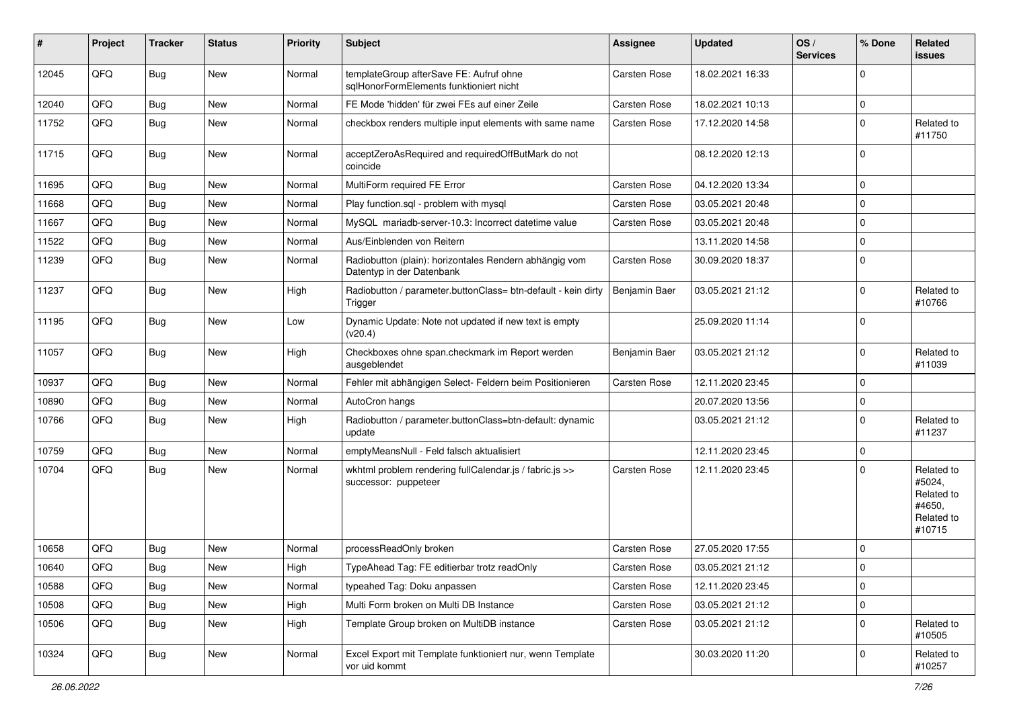| #     | Project | <b>Tracker</b> | <b>Status</b> | <b>Priority</b> | Subject                                                                             | <b>Assignee</b>     | <b>Updated</b>   | OS/<br><b>Services</b> | % Done      | Related<br><b>issues</b>                                             |
|-------|---------|----------------|---------------|-----------------|-------------------------------------------------------------------------------------|---------------------|------------------|------------------------|-------------|----------------------------------------------------------------------|
| 12045 | QFQ     | <b>Bug</b>     | New           | Normal          | templateGroup afterSave FE: Aufruf ohne<br>sqlHonorFormElements funktioniert nicht  | <b>Carsten Rose</b> | 18.02.2021 16:33 |                        | $\mathbf 0$ |                                                                      |
| 12040 | QFQ     | <b>Bug</b>     | New           | Normal          | FE Mode 'hidden' für zwei FEs auf einer Zeile                                       | <b>Carsten Rose</b> | 18.02.2021 10:13 |                        | $\mathbf 0$ |                                                                      |
| 11752 | QFQ     | <b>Bug</b>     | New           | Normal          | checkbox renders multiple input elements with same name                             | <b>Carsten Rose</b> | 17.12.2020 14:58 |                        | $\Omega$    | Related to<br>#11750                                                 |
| 11715 | QFQ     | Bug            | New           | Normal          | acceptZeroAsRequired and requiredOffButMark do not<br>coincide                      |                     | 08.12.2020 12:13 |                        | l 0         |                                                                      |
| 11695 | QFQ     | <b>Bug</b>     | New           | Normal          | MultiForm required FE Error                                                         | <b>Carsten Rose</b> | 04.12.2020 13:34 |                        | $\mathbf 0$ |                                                                      |
| 11668 | QFQ     | <b>Bug</b>     | New           | Normal          | Play function.sql - problem with mysql                                              | Carsten Rose        | 03.05.2021 20:48 |                        | $\Omega$    |                                                                      |
| 11667 | QFQ     | <b>Bug</b>     | New           | Normal          | MySQL mariadb-server-10.3: Incorrect datetime value                                 | <b>Carsten Rose</b> | 03.05.2021 20:48 |                        | $\mathbf 0$ |                                                                      |
| 11522 | QFQ     | Bug            | New           | Normal          | Aus/Einblenden von Reitern                                                          |                     | 13.11.2020 14:58 |                        | $\mathbf 0$ |                                                                      |
| 11239 | QFQ     | <b>Bug</b>     | New           | Normal          | Radiobutton (plain): horizontales Rendern abhängig vom<br>Datentyp in der Datenbank | <b>Carsten Rose</b> | 30.09.2020 18:37 |                        | $\mathbf 0$ |                                                                      |
| 11237 | QFQ     | Bug            | New           | High            | Radiobutton / parameter.buttonClass= btn-default - kein dirty<br>Trigger            | Benjamin Baer       | 03.05.2021 21:12 |                        | $\mathbf 0$ | Related to<br>#10766                                                 |
| 11195 | QFQ     | Bug            | New           | Low             | Dynamic Update: Note not updated if new text is empty<br>(v20.4)                    |                     | 25.09.2020 11:14 |                        | $\Omega$    |                                                                      |
| 11057 | QFQ     | Bug            | New           | High            | Checkboxes ohne span.checkmark im Report werden<br>ausgeblendet                     | Benjamin Baer       | 03.05.2021 21:12 |                        | $\mathbf 0$ | Related to<br>#11039                                                 |
| 10937 | QFQ     | <b>Bug</b>     | New           | Normal          | Fehler mit abhängigen Select- Feldern beim Positionieren                            | <b>Carsten Rose</b> | 12.11.2020 23:45 |                        | $\mathbf 0$ |                                                                      |
| 10890 | QFQ     | <b>Bug</b>     | New           | Normal          | AutoCron hangs                                                                      |                     | 20.07.2020 13:56 |                        | $\mathbf 0$ |                                                                      |
| 10766 | QFQ     | Bug            | New           | High            | Radiobutton / parameter.buttonClass=btn-default: dynamic<br>update                  |                     | 03.05.2021 21:12 |                        | $\mathbf 0$ | Related to<br>#11237                                                 |
| 10759 | QFQ     | <b>Bug</b>     | New           | Normal          | emptyMeansNull - Feld falsch aktualisiert                                           |                     | 12.11.2020 23:45 |                        | $\mathbf 0$ |                                                                      |
| 10704 | QFQ     | <b>Bug</b>     | New           | Normal          | wkhtml problem rendering fullCalendar.js / fabric.js >><br>successor: puppeteer     | Carsten Rose        | 12.11.2020 23:45 |                        | $\Omega$    | Related to<br>#5024,<br>Related to<br>#4650.<br>Related to<br>#10715 |
| 10658 | QFQ     | <b>Bug</b>     | New           | Normal          | processReadOnly broken                                                              | <b>Carsten Rose</b> | 27.05.2020 17:55 |                        | $\Omega$    |                                                                      |
| 10640 | QFQ     | Bug            | New           | High            | TypeAhead Tag: FE editierbar trotz readOnly                                         | <b>Carsten Rose</b> | 03.05.2021 21:12 |                        | $\Omega$    |                                                                      |
| 10588 | QFQ     | <b>Bug</b>     | New           | Normal          | typeahed Tag: Doku anpassen                                                         | Carsten Rose        | 12.11.2020 23:45 |                        | $\mathbf 0$ |                                                                      |
| 10508 | QFQ     | <b>Bug</b>     | New           | High            | Multi Form broken on Multi DB Instance                                              | Carsten Rose        | 03.05.2021 21:12 |                        | $\mathbf 0$ |                                                                      |
| 10506 | QFQ     | <b>Bug</b>     | New           | High            | Template Group broken on MultiDB instance                                           | Carsten Rose        | 03.05.2021 21:12 |                        | $\mathbf 0$ | Related to<br>#10505                                                 |
| 10324 | QFQ     | Bug            | New           | Normal          | Excel Export mit Template funktioniert nur, wenn Template<br>vor uid kommt          |                     | 30.03.2020 11:20 |                        | 0           | Related to<br>#10257                                                 |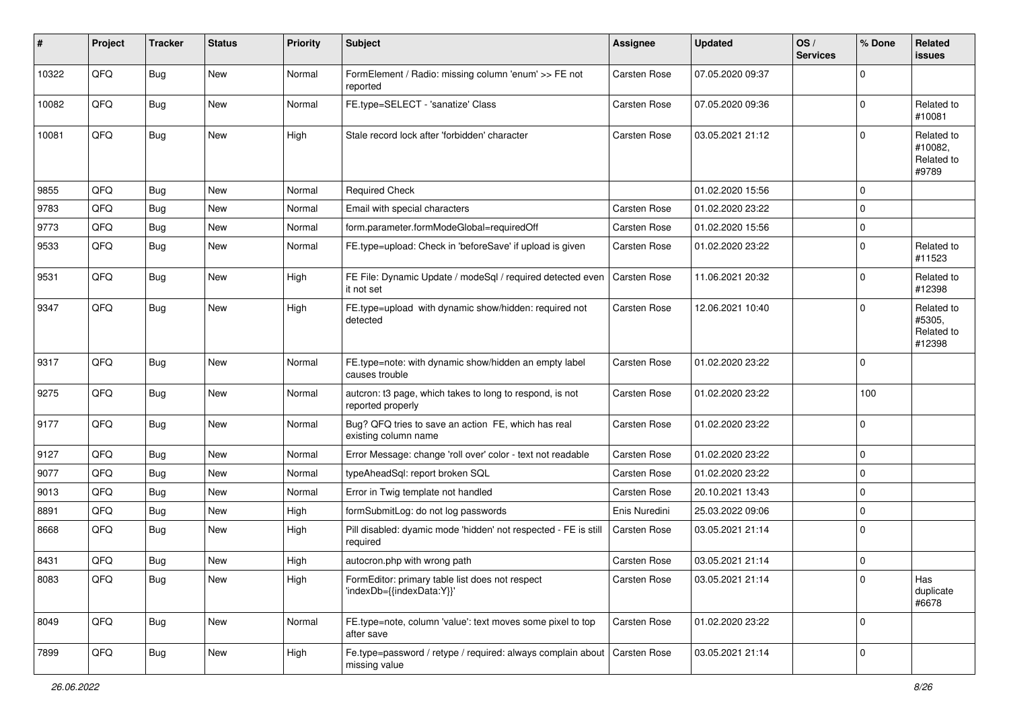| #     | Project | <b>Tracker</b> | <b>Status</b> | <b>Priority</b> | <b>Subject</b>                                                                | Assignee            | <b>Updated</b>   | OS/<br><b>Services</b> | % Done      | Related<br><b>issues</b>                     |
|-------|---------|----------------|---------------|-----------------|-------------------------------------------------------------------------------|---------------------|------------------|------------------------|-------------|----------------------------------------------|
| 10322 | QFQ     | Bug            | <b>New</b>    | Normal          | FormElement / Radio: missing column 'enum' >> FE not<br>reported              | Carsten Rose        | 07.05.2020 09:37 |                        | $\Omega$    |                                              |
| 10082 | QFQ     | Bug            | <b>New</b>    | Normal          | FE.type=SELECT - 'sanatize' Class                                             | <b>Carsten Rose</b> | 07.05.2020 09:36 |                        | $\Omega$    | Related to<br>#10081                         |
| 10081 | QFQ     | Bug            | New           | High            | Stale record lock after 'forbidden' character                                 | Carsten Rose        | 03.05.2021 21:12 |                        | U           | Related to<br>#10082,<br>Related to<br>#9789 |
| 9855  | QFQ     | <b>Bug</b>     | New           | Normal          | <b>Required Check</b>                                                         |                     | 01.02.2020 15:56 |                        | $\Omega$    |                                              |
| 9783  | QFQ     | <b>Bug</b>     | New           | Normal          | Email with special characters                                                 | <b>Carsten Rose</b> | 01.02.2020 23:22 |                        | $\mathbf 0$ |                                              |
| 9773  | QFQ     | <b>Bug</b>     | <b>New</b>    | Normal          | form.parameter.formModeGlobal=requiredOff                                     | Carsten Rose        | 01.02.2020 15:56 |                        | $\mathbf 0$ |                                              |
| 9533  | QFQ     | Bug            | New           | Normal          | FE.type=upload: Check in 'beforeSave' if upload is given                      | Carsten Rose        | 01.02.2020 23:22 |                        | 0           | Related to<br>#11523                         |
| 9531  | QFQ     | Bug            | New           | High            | FE File: Dynamic Update / modeSql / required detected even<br>it not set      | Carsten Rose        | 11.06.2021 20:32 |                        | $\Omega$    | Related to<br>#12398                         |
| 9347  | QFQ     | Bug            | <b>New</b>    | High            | FE.type=upload with dynamic show/hidden: required not<br>detected             | Carsten Rose        | 12.06.2021 10:40 |                        | 0           | Related to<br>#5305,<br>Related to<br>#12398 |
| 9317  | QFQ     | Bug            | New           | Normal          | FE.type=note: with dynamic show/hidden an empty label<br>causes trouble       | <b>Carsten Rose</b> | 01.02.2020 23:22 |                        | 0           |                                              |
| 9275  | QFQ     | Bug            | New           | Normal          | autcron: t3 page, which takes to long to respond, is not<br>reported properly | Carsten Rose        | 01.02.2020 23:22 |                        | 100         |                                              |
| 9177  | QFQ     | Bug            | New           | Normal          | Bug? QFQ tries to save an action FE, which has real<br>existing column name   | Carsten Rose        | 01.02.2020 23:22 |                        | $\Omega$    |                                              |
| 9127  | QFQ     | <b>Bug</b>     | New           | Normal          | Error Message: change 'roll over' color - text not readable                   | Carsten Rose        | 01.02.2020 23:22 |                        | $\mathbf 0$ |                                              |
| 9077  | QFQ     | Bug            | New           | Normal          | typeAheadSql: report broken SQL                                               | <b>Carsten Rose</b> | 01.02.2020 23:22 |                        | 0           |                                              |
| 9013  | QFQ     | <b>Bug</b>     | New           | Normal          | Error in Twig template not handled                                            | Carsten Rose        | 20.10.2021 13:43 |                        | $\mathbf 0$ |                                              |
| 8891  | QFQ     | <b>Bug</b>     | <b>New</b>    | High            | formSubmitLog: do not log passwords                                           | Enis Nuredini       | 25.03.2022 09:06 |                        | $\mathbf 0$ |                                              |
| 8668  | QFQ     | <b>Bug</b>     | New           | High            | Pill disabled: dyamic mode 'hidden' not respected - FE is still<br>required   | Carsten Rose        | 03.05.2021 21:14 |                        | $\Omega$    |                                              |
| 8431  | QFQ     | <b>Bug</b>     | New           | High            | autocron.php with wrong path                                                  | Carsten Rose        | 03.05.2021 21:14 |                        | $\mathbf 0$ |                                              |
| 8083  | QFQ     | Bug            | New           | High            | FormEditor: primary table list does not respect<br>'indexDb={{indexData:Y}}'  | Carsten Rose        | 03.05.2021 21:14 |                        | 0           | Has<br>duplicate<br>#6678                    |
| 8049  | QFQ     | <b>Bug</b>     | New           | Normal          | FE.type=note, column 'value': text moves some pixel to top<br>after save      | Carsten Rose        | 01.02.2020 23:22 |                        | $\mathbf 0$ |                                              |
| 7899  | QFQ     | <b>Bug</b>     | New           | High            | Fe.type=password / retype / required: always complain about<br>missing value  | Carsten Rose        | 03.05.2021 21:14 |                        | $\mathbf 0$ |                                              |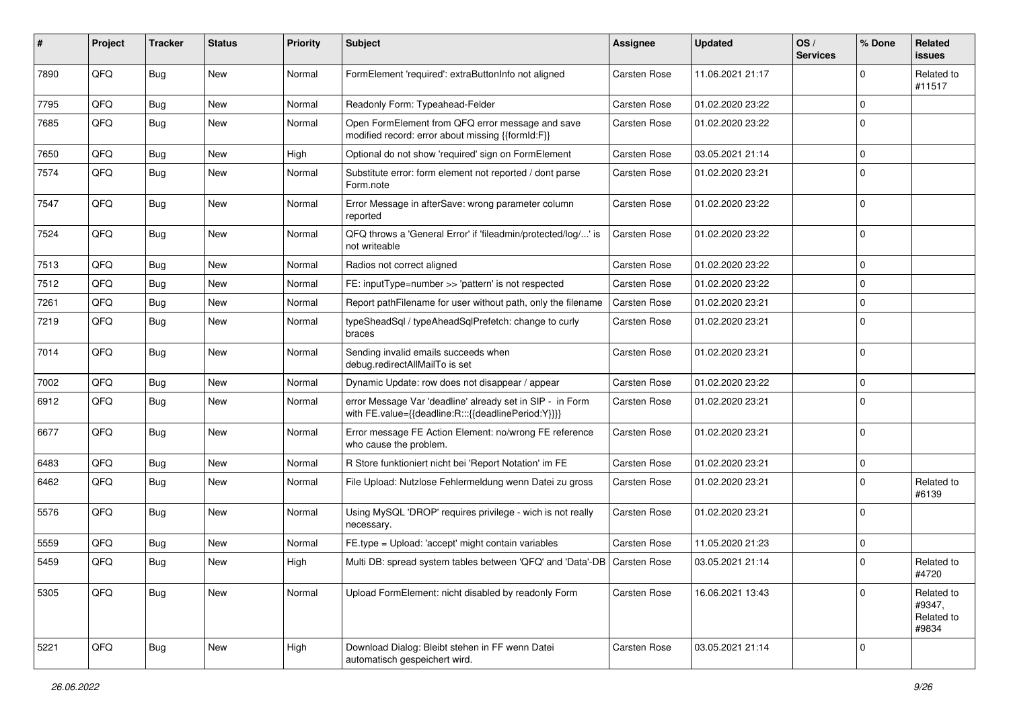| #    | Project | <b>Tracker</b> | <b>Status</b> | <b>Priority</b> | Subject                                                                                                          | <b>Assignee</b>     | <b>Updated</b>   | OS/<br><b>Services</b> | % Done      | Related<br><b>issues</b>                    |
|------|---------|----------------|---------------|-----------------|------------------------------------------------------------------------------------------------------------------|---------------------|------------------|------------------------|-------------|---------------------------------------------|
| 7890 | QFQ     | <b>Bug</b>     | New           | Normal          | FormElement 'required': extraButtonInfo not aligned                                                              | <b>Carsten Rose</b> | 11.06.2021 21:17 |                        | U           | Related to<br>#11517                        |
| 7795 | QFQ     | <b>Bug</b>     | New           | Normal          | Readonly Form: Typeahead-Felder                                                                                  | <b>Carsten Rose</b> | 01.02.2020 23:22 |                        | 0           |                                             |
| 7685 | QFQ     | <b>Bug</b>     | New           | Normal          | Open FormElement from QFQ error message and save<br>modified record: error about missing {{formId:F}}            | Carsten Rose        | 01.02.2020 23:22 |                        | $\Omega$    |                                             |
| 7650 | QFQ     | <b>Bug</b>     | New           | High            | Optional do not show 'required' sign on FormElement                                                              | <b>Carsten Rose</b> | 03.05.2021 21:14 |                        | $\mathbf 0$ |                                             |
| 7574 | QFQ     | <b>Bug</b>     | New           | Normal          | Substitute error: form element not reported / dont parse<br>Form.note                                            | Carsten Rose        | 01.02.2020 23:21 |                        | $\Omega$    |                                             |
| 7547 | QFQ     | Bug            | New           | Normal          | Error Message in afterSave: wrong parameter column<br>reported                                                   | <b>Carsten Rose</b> | 01.02.2020 23:22 |                        | 0           |                                             |
| 7524 | QFQ     | Bug            | New           | Normal          | QFQ throws a 'General Error' if 'fileadmin/protected/log/' is<br>not writeable                                   | <b>Carsten Rose</b> | 01.02.2020 23:22 |                        | $\Omega$    |                                             |
| 7513 | QFQ     | <b>Bug</b>     | New           | Normal          | Radios not correct aligned                                                                                       | <b>Carsten Rose</b> | 01.02.2020 23:22 |                        | $\Omega$    |                                             |
| 7512 | QFQ     | <b>Bug</b>     | New           | Normal          | FE: inputType=number >> 'pattern' is not respected                                                               | Carsten Rose        | 01.02.2020 23:22 |                        | $\mathbf 0$ |                                             |
| 7261 | QFQ     | <b>Bug</b>     | New           | Normal          | Report pathFilename for user without path, only the filename                                                     | <b>Carsten Rose</b> | 01.02.2020 23:21 |                        | $\mathbf 0$ |                                             |
| 7219 | QFQ     | <b>Bug</b>     | New           | Normal          | typeSheadSql / typeAheadSqlPrefetch: change to curly<br>braces                                                   | Carsten Rose        | 01.02.2020 23:21 |                        | 0           |                                             |
| 7014 | QFQ     | <b>Bug</b>     | New           | Normal          | Sending invalid emails succeeds when<br>debug.redirectAllMailTo is set                                           | Carsten Rose        | 01.02.2020 23:21 |                        | $\Omega$    |                                             |
| 7002 | QFQ     | <b>Bug</b>     | <b>New</b>    | Normal          | Dynamic Update: row does not disappear / appear                                                                  | <b>Carsten Rose</b> | 01.02.2020 23:22 |                        | $\mathbf 0$ |                                             |
| 6912 | QFQ     | Bug            | New           | Normal          | error Message Var 'deadline' already set in SIP - in Form<br>with FE.value={{deadline:R:::{{deadlinePeriod:Y}}}} | Carsten Rose        | 01.02.2020 23:21 |                        | 0           |                                             |
| 6677 | QFQ     | Bug            | New           | Normal          | Error message FE Action Element: no/wrong FE reference<br>who cause the problem.                                 | <b>Carsten Rose</b> | 01.02.2020 23:21 |                        | $\mathbf 0$ |                                             |
| 6483 | QFQ     | <b>Bug</b>     | New           | Normal          | R Store funktioniert nicht bei 'Report Notation' im FE                                                           | <b>Carsten Rose</b> | 01.02.2020 23:21 |                        | $\mathbf 0$ |                                             |
| 6462 | QFQ     | <b>Bug</b>     | New           | Normal          | File Upload: Nutzlose Fehlermeldung wenn Datei zu gross                                                          | Carsten Rose        | 01.02.2020 23:21 |                        | 0           | Related to<br>#6139                         |
| 5576 | QFQ     | <b>Bug</b>     | New           | Normal          | Using MySQL 'DROP' requires privilege - wich is not really<br>necessary.                                         | Carsten Rose        | 01.02.2020 23:21 |                        | $\Omega$    |                                             |
| 5559 | QFQ     | <b>Bug</b>     | <b>New</b>    | Normal          | FE.type = Upload: 'accept' might contain variables                                                               | <b>Carsten Rose</b> | 11.05.2020 21:23 |                        | $\Omega$    |                                             |
| 5459 | QFQ     | <b>Bug</b>     | New           | High            | Multi DB: spread system tables between 'QFQ' and 'Data'-DB   Carsten Rose                                        |                     | 03.05.2021 21:14 |                        | $\Omega$    | Related to<br>#4720                         |
| 5305 | QFQ     | <b>Bug</b>     | New           | Normal          | Upload FormElement: nicht disabled by readonly Form                                                              | Carsten Rose        | 16.06.2021 13:43 |                        | $\Omega$    | Related to<br>#9347,<br>Related to<br>#9834 |
| 5221 | QFQ     | <b>Bug</b>     | New           | High            | Download Dialog: Bleibt stehen in FF wenn Datei<br>automatisch gespeichert wird.                                 | Carsten Rose        | 03.05.2021 21:14 |                        | 0           |                                             |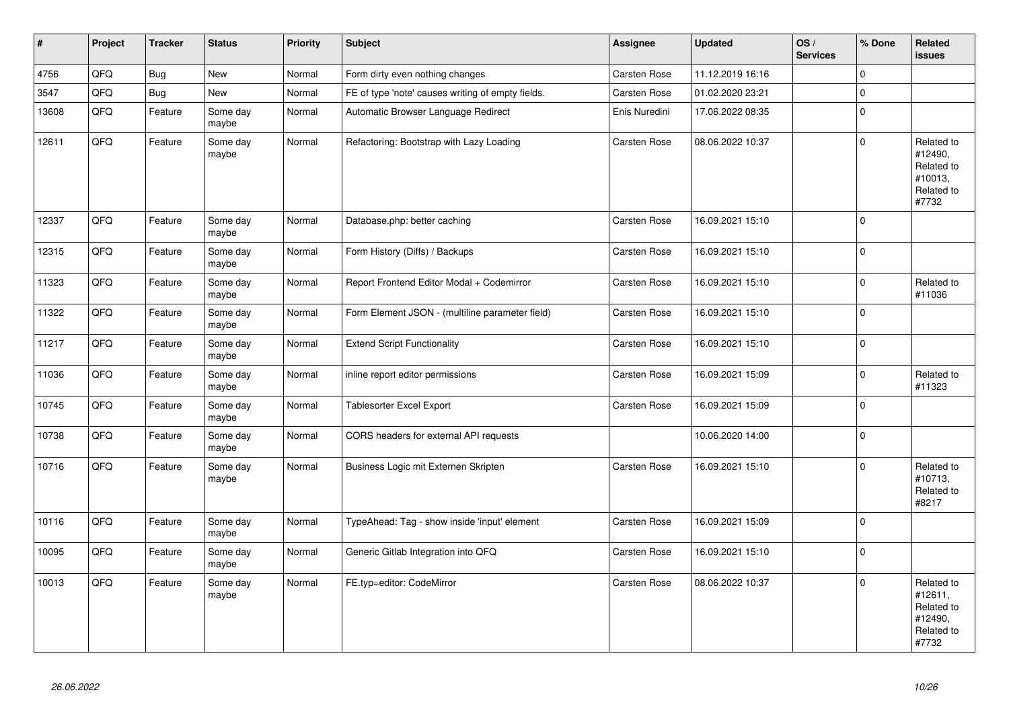| $\vert$ # | Project | <b>Tracker</b> | <b>Status</b>     | <b>Priority</b> | <b>Subject</b>                                    | <b>Assignee</b>     | <b>Updated</b>   | OS/<br><b>Services</b> | % Done         | Related<br><b>issues</b>                                              |
|-----------|---------|----------------|-------------------|-----------------|---------------------------------------------------|---------------------|------------------|------------------------|----------------|-----------------------------------------------------------------------|
| 4756      | QFQ     | <b>Bug</b>     | New               | Normal          | Form dirty even nothing changes                   | <b>Carsten Rose</b> | 11.12.2019 16:16 |                        | $\Omega$       |                                                                       |
| 3547      | QFQ     | Bug            | <b>New</b>        | Normal          | FE of type 'note' causes writing of empty fields. | <b>Carsten Rose</b> | 01.02.2020 23:21 |                        | $\mathbf 0$    |                                                                       |
| 13608     | QFO     | Feature        | Some day<br>maybe | Normal          | Automatic Browser Language Redirect               | Enis Nuredini       | 17.06.2022 08:35 |                        | $\Omega$       |                                                                       |
| 12611     | QFQ     | Feature        | Some day<br>maybe | Normal          | Refactoring: Bootstrap with Lazy Loading          | <b>Carsten Rose</b> | 08.06.2022 10:37 |                        | $\Omega$       | Related to<br>#12490,<br>Related to<br>#10013.<br>Related to<br>#7732 |
| 12337     | QFQ     | Feature        | Some day<br>maybe | Normal          | Database.php: better caching                      | <b>Carsten Rose</b> | 16.09.2021 15:10 |                        | $\Omega$       |                                                                       |
| 12315     | QFO     | Feature        | Some day<br>maybe | Normal          | Form History (Diffs) / Backups                    | Carsten Rose        | 16.09.2021 15:10 |                        | $\mathbf 0$    |                                                                       |
| 11323     | QFQ     | Feature        | Some day<br>maybe | Normal          | Report Frontend Editor Modal + Codemirror         | Carsten Rose        | 16.09.2021 15:10 |                        | $\Omega$       | Related to<br>#11036                                                  |
| 11322     | QFQ     | Feature        | Some day<br>maybe | Normal          | Form Element JSON - (multiline parameter field)   | Carsten Rose        | 16.09.2021 15:10 |                        | $\Omega$       |                                                                       |
| 11217     | QFQ     | Feature        | Some day<br>maybe | Normal          | <b>Extend Script Functionality</b>                | <b>Carsten Rose</b> | 16.09.2021 15:10 |                        | $\overline{0}$ |                                                                       |
| 11036     | QFQ     | Feature        | Some day<br>maybe | Normal          | inline report editor permissions                  | <b>Carsten Rose</b> | 16.09.2021 15:09 |                        | $\mathbf 0$    | Related to<br>#11323                                                  |
| 10745     | QFQ     | Feature        | Some day<br>maybe | Normal          | <b>Tablesorter Excel Export</b>                   | <b>Carsten Rose</b> | 16.09.2021 15:09 |                        | $\Omega$       |                                                                       |
| 10738     | QFQ     | Feature        | Some day<br>maybe | Normal          | CORS headers for external API requests            |                     | 10.06.2020 14:00 |                        | $\Omega$       |                                                                       |
| 10716     | QFQ     | Feature        | Some day<br>maybe | Normal          | Business Logic mit Externen Skripten              | <b>Carsten Rose</b> | 16.09.2021 15:10 |                        | $\Omega$       | Related to<br>#10713,<br>Related to<br>#8217                          |
| 10116     | QFQ     | Feature        | Some day<br>maybe | Normal          | TypeAhead: Tag - show inside 'input' element      | Carsten Rose        | 16.09.2021 15:09 |                        | $\Omega$       |                                                                       |
| 10095     | QFQ     | Feature        | Some day<br>maybe | Normal          | Generic Gitlab Integration into QFQ               | <b>Carsten Rose</b> | 16.09.2021 15:10 |                        | $\Omega$       |                                                                       |
| 10013     | QFQ     | Feature        | Some day<br>maybe | Normal          | FE.typ=editor: CodeMirror                         | <b>Carsten Rose</b> | 08.06.2022 10:37 |                        | $\Omega$       | Related to<br>#12611,<br>Related to<br>#12490.<br>Related to<br>#7732 |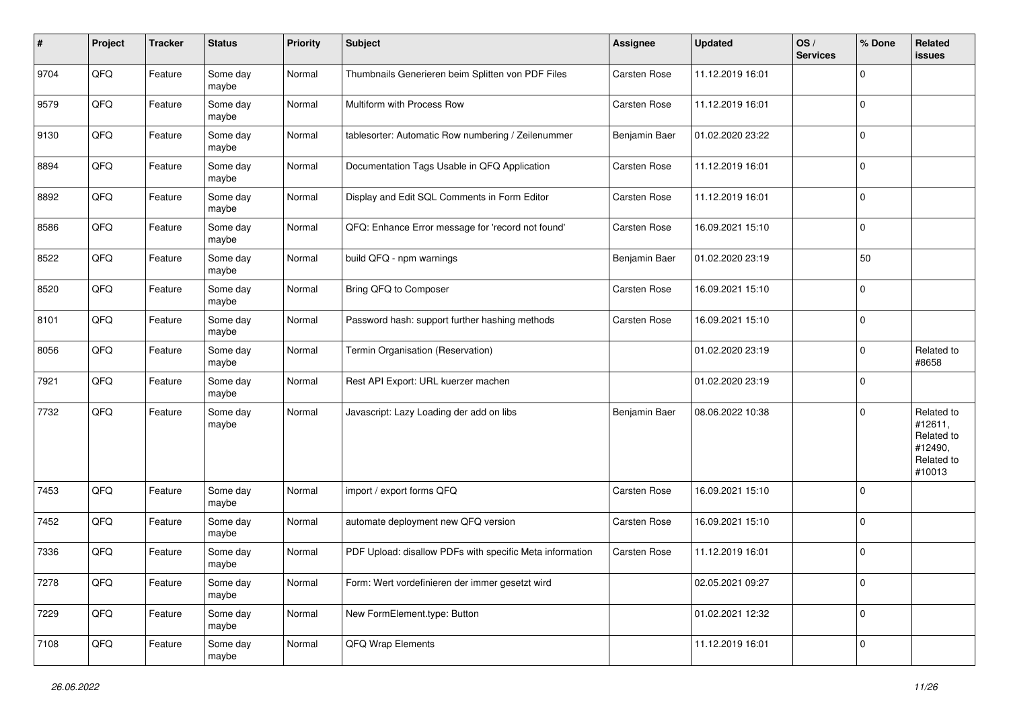| #    | Project | <b>Tracker</b> | <b>Status</b>     | <b>Priority</b> | <b>Subject</b>                                           | Assignee            | <b>Updated</b>   | OS/<br><b>Services</b> | % Done      | Related<br>issues                                                      |
|------|---------|----------------|-------------------|-----------------|----------------------------------------------------------|---------------------|------------------|------------------------|-------------|------------------------------------------------------------------------|
| 9704 | QFQ     | Feature        | Some day<br>maybe | Normal          | Thumbnails Generieren beim Splitten von PDF Files        | Carsten Rose        | 11.12.2019 16:01 |                        | $\Omega$    |                                                                        |
| 9579 | QFQ     | Feature        | Some day<br>maybe | Normal          | Multiform with Process Row                               | Carsten Rose        | 11.12.2019 16:01 |                        | 0           |                                                                        |
| 9130 | QFQ     | Feature        | Some day<br>maybe | Normal          | tablesorter: Automatic Row numbering / Zeilenummer       | Benjamin Baer       | 01.02.2020 23:22 |                        | 0           |                                                                        |
| 8894 | QFQ     | Feature        | Some day<br>maybe | Normal          | Documentation Tags Usable in QFQ Application             | <b>Carsten Rose</b> | 11.12.2019 16:01 |                        | 0           |                                                                        |
| 8892 | QFQ     | Feature        | Some day<br>maybe | Normal          | Display and Edit SQL Comments in Form Editor             | <b>Carsten Rose</b> | 11.12.2019 16:01 |                        | $\mathbf 0$ |                                                                        |
| 8586 | QFQ     | Feature        | Some day<br>maybe | Normal          | QFQ: Enhance Error message for 'record not found'        | Carsten Rose        | 16.09.2021 15:10 |                        | $\mathbf 0$ |                                                                        |
| 8522 | QFQ     | Feature        | Some day<br>maybe | Normal          | build QFQ - npm warnings                                 | Benjamin Baer       | 01.02.2020 23:19 |                        | 50          |                                                                        |
| 8520 | QFQ     | Feature        | Some day<br>maybe | Normal          | Bring QFQ to Composer                                    | Carsten Rose        | 16.09.2021 15:10 |                        | 0           |                                                                        |
| 8101 | QFQ     | Feature        | Some day<br>maybe | Normal          | Password hash: support further hashing methods           | Carsten Rose        | 16.09.2021 15:10 |                        | 0           |                                                                        |
| 8056 | QFQ     | Feature        | Some day<br>maybe | Normal          | Termin Organisation (Reservation)                        |                     | 01.02.2020 23:19 |                        | 0           | Related to<br>#8658                                                    |
| 7921 | QFQ     | Feature        | Some day<br>maybe | Normal          | Rest API Export: URL kuerzer machen                      |                     | 01.02.2020 23:19 |                        | $\mathbf 0$ |                                                                        |
| 7732 | QFQ     | Feature        | Some day<br>maybe | Normal          | Javascript: Lazy Loading der add on libs                 | Benjamin Baer       | 08.06.2022 10:38 |                        | $\mathbf 0$ | Related to<br>#12611,<br>Related to<br>#12490,<br>Related to<br>#10013 |
| 7453 | QFQ     | Feature        | Some day<br>maybe | Normal          | import / export forms QFQ                                | <b>Carsten Rose</b> | 16.09.2021 15:10 |                        | 0           |                                                                        |
| 7452 | QFQ     | Feature        | Some day<br>maybe | Normal          | automate deployment new QFQ version                      | Carsten Rose        | 16.09.2021 15:10 |                        | $\mathbf 0$ |                                                                        |
| 7336 | QFQ     | Feature        | Some day<br>maybe | Normal          | PDF Upload: disallow PDFs with specific Meta information | Carsten Rose        | 11.12.2019 16:01 |                        | $\mathbf 0$ |                                                                        |
| 7278 | QFG     | Feature        | Some day<br>maybe | Normal          | Form: Wert vordefinieren der immer gesetzt wird          |                     | 02.05.2021 09:27 |                        | 0           |                                                                        |
| 7229 | QFG     | Feature        | Some day<br>maybe | Normal          | New FormElement.type: Button                             |                     | 01.02.2021 12:32 |                        | 0           |                                                                        |
| 7108 | QFG     | Feature        | Some day<br>maybe | Normal          | QFQ Wrap Elements                                        |                     | 11.12.2019 16:01 |                        | 0           |                                                                        |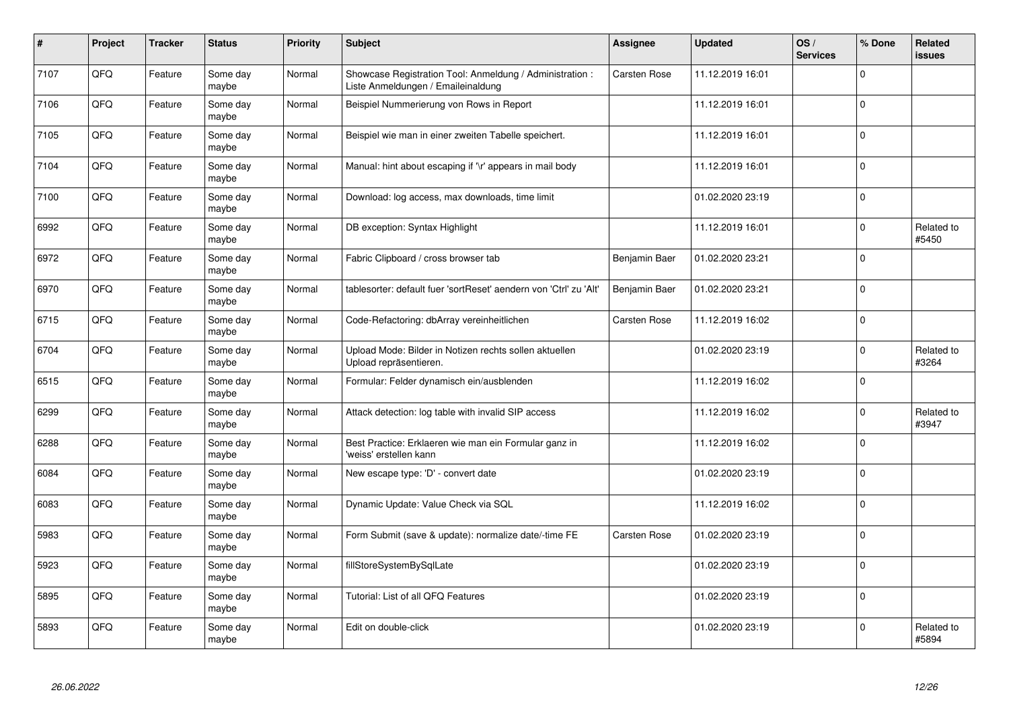| $\vert$ # | Project | <b>Tracker</b> | <b>Status</b>     | <b>Priority</b> | <b>Subject</b>                                                                                 | <b>Assignee</b>     | <b>Updated</b>   | OS/<br><b>Services</b> | % Done   | Related<br>issues   |
|-----------|---------|----------------|-------------------|-----------------|------------------------------------------------------------------------------------------------|---------------------|------------------|------------------------|----------|---------------------|
| 7107      | QFQ     | Feature        | Some day<br>maybe | Normal          | Showcase Registration Tool: Anmeldung / Administration :<br>Liste Anmeldungen / Emaileinaldung | Carsten Rose        | 11.12.2019 16:01 |                        | $\Omega$ |                     |
| 7106      | QFQ     | Feature        | Some day<br>maybe | Normal          | Beispiel Nummerierung von Rows in Report                                                       |                     | 11.12.2019 16:01 |                        | $\Omega$ |                     |
| 7105      | QFQ     | Feature        | Some day<br>maybe | Normal          | Beispiel wie man in einer zweiten Tabelle speichert.                                           |                     | 11.12.2019 16:01 |                        | $\Omega$ |                     |
| 7104      | QFQ     | Feature        | Some day<br>maybe | Normal          | Manual: hint about escaping if '\r' appears in mail body                                       |                     | 11.12.2019 16:01 |                        | $\Omega$ |                     |
| 7100      | QFQ     | Feature        | Some day<br>maybe | Normal          | Download: log access, max downloads, time limit                                                |                     | 01.02.2020 23:19 |                        | $\Omega$ |                     |
| 6992      | QFQ     | Feature        | Some day<br>maybe | Normal          | DB exception: Syntax Highlight                                                                 |                     | 11.12.2019 16:01 |                        | $\Omega$ | Related to<br>#5450 |
| 6972      | QFQ     | Feature        | Some day<br>maybe | Normal          | Fabric Clipboard / cross browser tab                                                           | Benjamin Baer       | 01.02.2020 23:21 |                        | $\Omega$ |                     |
| 6970      | QFQ     | Feature        | Some day<br>maybe | Normal          | tablesorter: default fuer 'sortReset' aendern von 'Ctrl' zu 'Alt'                              | Benjamin Baer       | 01.02.2020 23:21 |                        | $\Omega$ |                     |
| 6715      | QFQ     | Feature        | Some day<br>maybe | Normal          | Code-Refactoring: dbArray vereinheitlichen                                                     | <b>Carsten Rose</b> | 11.12.2019 16:02 |                        | $\Omega$ |                     |
| 6704      | QFQ     | Feature        | Some day<br>maybe | Normal          | Upload Mode: Bilder in Notizen rechts sollen aktuellen<br>Upload repräsentieren.               |                     | 01.02.2020 23:19 |                        | $\Omega$ | Related to<br>#3264 |
| 6515      | QFQ     | Feature        | Some day<br>maybe | Normal          | Formular: Felder dynamisch ein/ausblenden                                                      |                     | 11.12.2019 16:02 |                        | $\Omega$ |                     |
| 6299      | QFQ     | Feature        | Some day<br>maybe | Normal          | Attack detection: log table with invalid SIP access                                            |                     | 11.12.2019 16:02 |                        | $\Omega$ | Related to<br>#3947 |
| 6288      | QFQ     | Feature        | Some day<br>maybe | Normal          | Best Practice: Erklaeren wie man ein Formular ganz in<br>'weiss' erstellen kann                |                     | 11.12.2019 16:02 |                        | $\Omega$ |                     |
| 6084      | QFQ     | Feature        | Some day<br>maybe | Normal          | New escape type: 'D' - convert date                                                            |                     | 01.02.2020 23:19 |                        | $\Omega$ |                     |
| 6083      | QFQ     | Feature        | Some day<br>maybe | Normal          | Dynamic Update: Value Check via SQL                                                            |                     | 11.12.2019 16:02 |                        | $\Omega$ |                     |
| 5983      | QFQ     | Feature        | Some day<br>maybe | Normal          | Form Submit (save & update): normalize date/-time FE                                           | <b>Carsten Rose</b> | 01.02.2020 23:19 |                        | $\Omega$ |                     |
| 5923      | QFQ     | Feature        | Some day<br>maybe | Normal          | fillStoreSystemBySqlLate                                                                       |                     | 01.02.2020 23:19 |                        | $\Omega$ |                     |
| 5895      | QFQ     | Feature        | Some day<br>maybe | Normal          | Tutorial: List of all QFQ Features                                                             |                     | 01.02.2020 23:19 |                        | $\Omega$ |                     |
| 5893      | QFQ     | Feature        | Some day<br>maybe | Normal          | Edit on double-click                                                                           |                     | 01.02.2020 23:19 |                        | $\Omega$ | Related to<br>#5894 |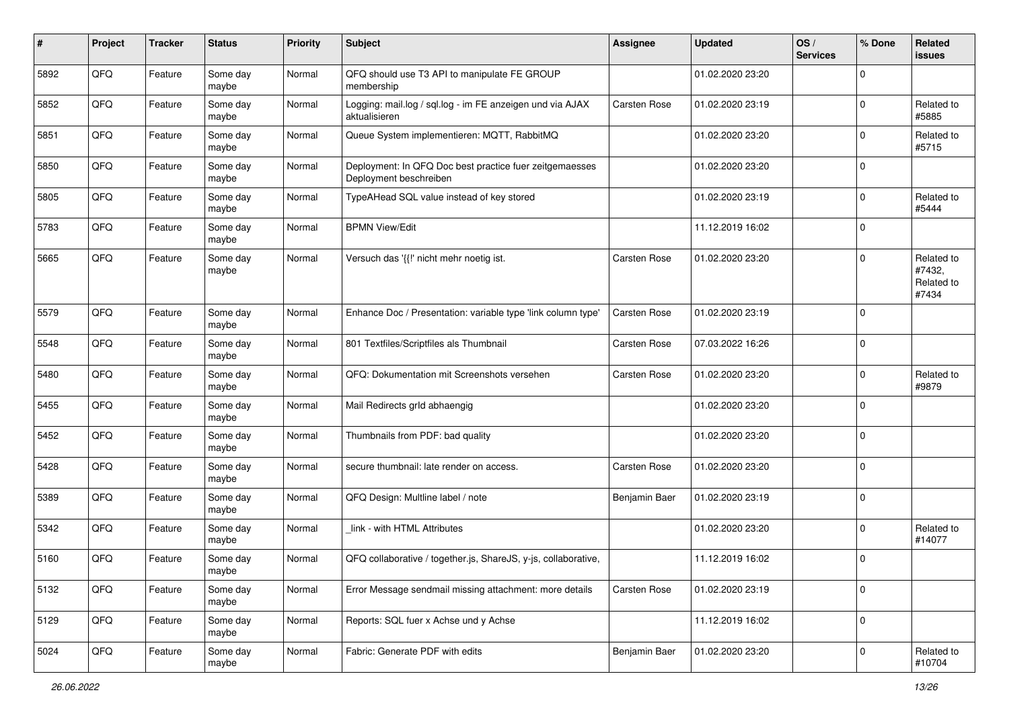| #    | Project | <b>Tracker</b> | <b>Status</b>     | <b>Priority</b> | <b>Subject</b>                                                                    | <b>Assignee</b>     | <b>Updated</b>   | OS/<br><b>Services</b> | % Done      | Related<br>issues                           |
|------|---------|----------------|-------------------|-----------------|-----------------------------------------------------------------------------------|---------------------|------------------|------------------------|-------------|---------------------------------------------|
| 5892 | QFQ     | Feature        | Some day<br>maybe | Normal          | QFQ should use T3 API to manipulate FE GROUP<br>membership                        |                     | 01.02.2020 23:20 |                        | $\Omega$    |                                             |
| 5852 | QFQ     | Feature        | Some day<br>maybe | Normal          | Logging: mail.log / sql.log - im FE anzeigen und via AJAX<br>aktualisieren        | <b>Carsten Rose</b> | 01.02.2020 23:19 |                        | $\Omega$    | Related to<br>#5885                         |
| 5851 | QFQ     | Feature        | Some day<br>maybe | Normal          | Queue System implementieren: MQTT, RabbitMQ                                       |                     | 01.02.2020 23:20 |                        | 0           | Related to<br>#5715                         |
| 5850 | QFQ     | Feature        | Some day<br>maybe | Normal          | Deployment: In QFQ Doc best practice fuer zeitgemaesses<br>Deployment beschreiben |                     | 01.02.2020 23:20 |                        | $\Omega$    |                                             |
| 5805 | QFQ     | Feature        | Some day<br>maybe | Normal          | TypeAHead SQL value instead of key stored                                         |                     | 01.02.2020 23:19 |                        | $\Omega$    | Related to<br>#5444                         |
| 5783 | QFQ     | Feature        | Some day<br>maybe | Normal          | <b>BPMN View/Edit</b>                                                             |                     | 11.12.2019 16:02 |                        | $\Omega$    |                                             |
| 5665 | QFQ     | Feature        | Some day<br>maybe | Normal          | Versuch das '{{" nicht mehr noetig ist.                                           | Carsten Rose        | 01.02.2020 23:20 |                        | $\Omega$    | Related to<br>#7432,<br>Related to<br>#7434 |
| 5579 | QFQ     | Feature        | Some day<br>maybe | Normal          | Enhance Doc / Presentation: variable type 'link column type'                      | <b>Carsten Rose</b> | 01.02.2020 23:19 |                        | $\Omega$    |                                             |
| 5548 | QFQ     | Feature        | Some day<br>maybe | Normal          | 801 Textfiles/Scriptfiles als Thumbnail                                           | <b>Carsten Rose</b> | 07.03.2022 16:26 |                        | $\Omega$    |                                             |
| 5480 | QFQ     | Feature        | Some day<br>maybe | Normal          | QFQ: Dokumentation mit Screenshots versehen                                       | <b>Carsten Rose</b> | 01.02.2020 23:20 |                        | $\mathbf 0$ | Related to<br>#9879                         |
| 5455 | QFQ     | Feature        | Some day<br>maybe | Normal          | Mail Redirects grld abhaengig                                                     |                     | 01.02.2020 23:20 |                        | 0           |                                             |
| 5452 | QFQ     | Feature        | Some day<br>maybe | Normal          | Thumbnails from PDF: bad quality                                                  |                     | 01.02.2020 23:20 |                        | $\Omega$    |                                             |
| 5428 | QFQ     | Feature        | Some day<br>maybe | Normal          | secure thumbnail: late render on access.                                          | Carsten Rose        | 01.02.2020 23:20 |                        | $\Omega$    |                                             |
| 5389 | QFQ     | Feature        | Some day<br>maybe | Normal          | QFQ Design: Multline label / note                                                 | Benjamin Baer       | 01.02.2020 23:19 |                        | $\Omega$    |                                             |
| 5342 | QFQ     | Feature        | Some day<br>maybe | Normal          | link - with HTML Attributes                                                       |                     | 01.02.2020 23:20 |                        | $\Omega$    | Related to<br>#14077                        |
| 5160 | QFQ     | Feature        | Some day<br>maybe | Normal          | QFQ collaborative / together.js, ShareJS, y-js, collaborative,                    |                     | 11.12.2019 16:02 |                        | $\Omega$    |                                             |
| 5132 | QFQ     | Feature        | Some day<br>maybe | Normal          | Error Message sendmail missing attachment: more details                           | <b>Carsten Rose</b> | 01.02.2020 23:19 |                        | $\mathbf 0$ |                                             |
| 5129 | QFQ     | Feature        | Some day<br>maybe | Normal          | Reports: SQL fuer x Achse und y Achse                                             |                     | 11.12.2019 16:02 |                        | $\mathbf 0$ |                                             |
| 5024 | QFQ     | Feature        | Some day<br>maybe | Normal          | Fabric: Generate PDF with edits                                                   | Benjamin Baer       | 01.02.2020 23:20 |                        | $\mathbf 0$ | Related to<br>#10704                        |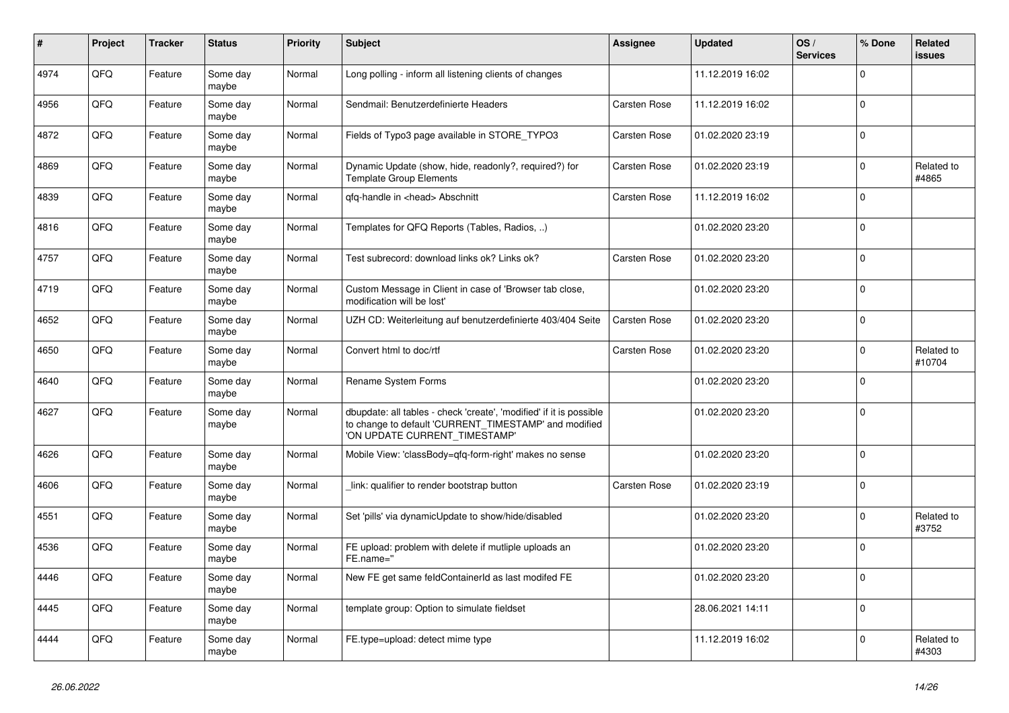| $\pmb{\#}$ | Project | <b>Tracker</b> | <b>Status</b>     | <b>Priority</b> | <b>Subject</b>                                                                                                                                                | Assignee            | <b>Updated</b>   | OS/<br><b>Services</b> | % Done      | Related<br>issues    |
|------------|---------|----------------|-------------------|-----------------|---------------------------------------------------------------------------------------------------------------------------------------------------------------|---------------------|------------------|------------------------|-------------|----------------------|
| 4974       | QFQ     | Feature        | Some day<br>maybe | Normal          | Long polling - inform all listening clients of changes                                                                                                        |                     | 11.12.2019 16:02 |                        | $\Omega$    |                      |
| 4956       | QFQ     | Feature        | Some day<br>maybe | Normal          | Sendmail: Benutzerdefinierte Headers                                                                                                                          | <b>Carsten Rose</b> | 11.12.2019 16:02 |                        | $\Omega$    |                      |
| 4872       | QFQ     | Feature        | Some day<br>maybe | Normal          | Fields of Typo3 page available in STORE_TYPO3                                                                                                                 | <b>Carsten Rose</b> | 01.02.2020 23:19 |                        | $\Omega$    |                      |
| 4869       | QFQ     | Feature        | Some day<br>maybe | Normal          | Dynamic Update (show, hide, readonly?, required?) for<br><b>Template Group Elements</b>                                                                       | <b>Carsten Rose</b> | 01.02.2020 23:19 |                        | $\Omega$    | Related to<br>#4865  |
| 4839       | QFQ     | Feature        | Some day<br>maybe | Normal          | qfq-handle in <head> Abschnitt</head>                                                                                                                         | Carsten Rose        | 11.12.2019 16:02 |                        | $\mathbf 0$ |                      |
| 4816       | QFQ     | Feature        | Some day<br>maybe | Normal          | Templates for QFQ Reports (Tables, Radios, )                                                                                                                  |                     | 01.02.2020 23:20 |                        | $\Omega$    |                      |
| 4757       | QFQ     | Feature        | Some day<br>maybe | Normal          | Test subrecord: download links ok? Links ok?                                                                                                                  | <b>Carsten Rose</b> | 01.02.2020 23:20 |                        | $\Omega$    |                      |
| 4719       | QFQ     | Feature        | Some day<br>maybe | Normal          | Custom Message in Client in case of 'Browser tab close,<br>modification will be lost'                                                                         |                     | 01.02.2020 23:20 |                        | $\Omega$    |                      |
| 4652       | QFQ     | Feature        | Some day<br>maybe | Normal          | UZH CD: Weiterleitung auf benutzerdefinierte 403/404 Seite                                                                                                    | <b>Carsten Rose</b> | 01.02.2020 23:20 |                        | $\Omega$    |                      |
| 4650       | QFQ     | Feature        | Some day<br>maybe | Normal          | Convert html to doc/rtf                                                                                                                                       | Carsten Rose        | 01.02.2020 23:20 |                        | $\Omega$    | Related to<br>#10704 |
| 4640       | QFQ     | Feature        | Some day<br>maybe | Normal          | <b>Rename System Forms</b>                                                                                                                                    |                     | 01.02.2020 23:20 |                        | $\Omega$    |                      |
| 4627       | QFQ     | Feature        | Some day<br>maybe | Normal          | dbupdate: all tables - check 'create', 'modified' if it is possible<br>to change to default 'CURRENT_TIMESTAMP' and modified<br>'ON UPDATE CURRENT_TIMESTAMP' |                     | 01.02.2020 23:20 |                        | $\Omega$    |                      |
| 4626       | QFQ     | Feature        | Some day<br>maybe | Normal          | Mobile View: 'classBody=qfq-form-right' makes no sense                                                                                                        |                     | 01.02.2020 23:20 |                        | $\Omega$    |                      |
| 4606       | QFQ     | Feature        | Some day<br>maybe | Normal          | link: qualifier to render bootstrap button                                                                                                                    | Carsten Rose        | 01.02.2020 23:19 |                        | $\Omega$    |                      |
| 4551       | QFQ     | Feature        | Some day<br>maybe | Normal          | Set 'pills' via dynamicUpdate to show/hide/disabled                                                                                                           |                     | 01.02.2020 23:20 |                        | $\mathbf 0$ | Related to<br>#3752  |
| 4536       | QFQ     | Feature        | Some day<br>maybe | Normal          | FE upload: problem with delete if mutliple uploads an<br>FE.name="                                                                                            |                     | 01.02.2020 23:20 |                        | $\mathbf 0$ |                      |
| 4446       | QFQ     | Feature        | Some day<br>maybe | Normal          | New FE get same feldContainerId as last modifed FE                                                                                                            |                     | 01.02.2020 23:20 |                        | $\Omega$    |                      |
| 4445       | QFQ     | Feature        | Some day<br>maybe | Normal          | template group: Option to simulate fieldset                                                                                                                   |                     | 28.06.2021 14:11 |                        | $\mathbf 0$ |                      |
| 4444       | QFQ     | Feature        | Some day<br>maybe | Normal          | FE.type=upload: detect mime type                                                                                                                              |                     | 11.12.2019 16:02 |                        | $\Omega$    | Related to<br>#4303  |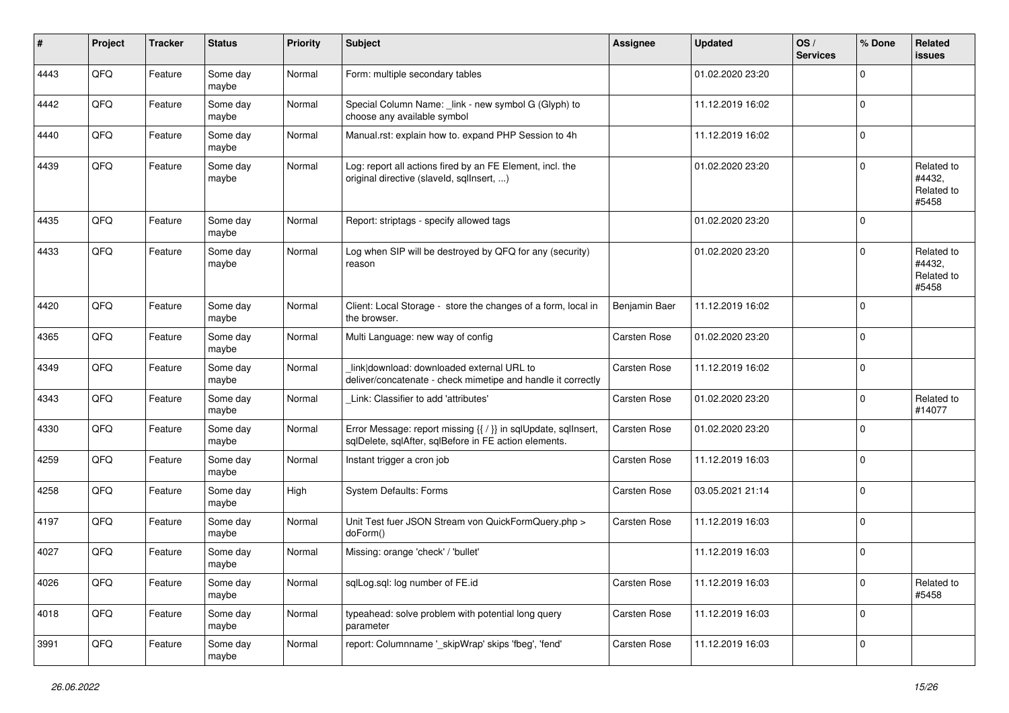| #    | Project | <b>Tracker</b> | <b>Status</b>     | <b>Priority</b> | <b>Subject</b>                                                                                                          | Assignee            | <b>Updated</b>   | OS/<br><b>Services</b> | % Done      | Related<br><b>issues</b>                    |
|------|---------|----------------|-------------------|-----------------|-------------------------------------------------------------------------------------------------------------------------|---------------------|------------------|------------------------|-------------|---------------------------------------------|
| 4443 | QFQ     | Feature        | Some day<br>maybe | Normal          | Form: multiple secondary tables                                                                                         |                     | 01.02.2020 23:20 |                        | $\Omega$    |                                             |
| 4442 | QFQ     | Feature        | Some day<br>maybe | Normal          | Special Column Name: _link - new symbol G (Glyph) to<br>choose any available symbol                                     |                     | 11.12.2019 16:02 |                        | l 0         |                                             |
| 4440 | QFQ     | Feature        | Some day<br>maybe | Normal          | Manual.rst: explain how to. expand PHP Session to 4h                                                                    |                     | 11.12.2019 16:02 |                        | $\Omega$    |                                             |
| 4439 | QFQ     | Feature        | Some day<br>maybe | Normal          | Log: report all actions fired by an FE Element, incl. the<br>original directive (slaveld, sqllnsert, )                  |                     | 01.02.2020 23:20 |                        | $\Omega$    | Related to<br>#4432,<br>Related to<br>#5458 |
| 4435 | QFQ     | Feature        | Some day<br>maybe | Normal          | Report: striptags - specify allowed tags                                                                                |                     | 01.02.2020 23:20 |                        | $\Omega$    |                                             |
| 4433 | QFQ     | Feature        | Some day<br>maybe | Normal          | Log when SIP will be destroyed by QFQ for any (security)<br>reason                                                      |                     | 01.02.2020 23:20 |                        | $\Omega$    | Related to<br>#4432,<br>Related to<br>#5458 |
| 4420 | QFQ     | Feature        | Some day<br>maybe | Normal          | Client: Local Storage - store the changes of a form, local in<br>the browser.                                           | Benjamin Baer       | 11.12.2019 16:02 |                        | $\mathbf 0$ |                                             |
| 4365 | QFQ     | Feature        | Some day<br>maybe | Normal          | Multi Language: new way of config                                                                                       | Carsten Rose        | 01.02.2020 23:20 |                        | 0           |                                             |
| 4349 | QFQ     | Feature        | Some day<br>maybe | Normal          | link download: downloaded external URL to<br>deliver/concatenate - check mimetipe and handle it correctly               | <b>Carsten Rose</b> | 11.12.2019 16:02 |                        | $\Omega$    |                                             |
| 4343 | QFQ     | Feature        | Some day<br>maybe | Normal          | Link: Classifier to add 'attributes'                                                                                    | Carsten Rose        | 01.02.2020 23:20 |                        | $\mathbf 0$ | Related to<br>#14077                        |
| 4330 | QFQ     | Feature        | Some day<br>maybe | Normal          | Error Message: report missing {{ / }} in sqlUpdate, sqlInsert,<br>sqlDelete, sqlAfter, sqlBefore in FE action elements. | Carsten Rose        | 01.02.2020 23:20 |                        | $\Omega$    |                                             |
| 4259 | QFQ     | Feature        | Some day<br>maybe | Normal          | Instant trigger a cron job                                                                                              | Carsten Rose        | 11.12.2019 16:03 |                        | $\mathbf 0$ |                                             |
| 4258 | QFQ     | Feature        | Some day<br>maybe | High            | <b>System Defaults: Forms</b>                                                                                           | Carsten Rose        | 03.05.2021 21:14 |                        | l 0         |                                             |
| 4197 | QFQ     | Feature        | Some day<br>maybe | Normal          | Unit Test fuer JSON Stream von QuickFormQuery.php ><br>doForm()                                                         | Carsten Rose        | 11.12.2019 16:03 |                        | l 0         |                                             |
| 4027 | QFQ     | Feature        | Some day<br>maybe | Normal          | Missing: orange 'check' / 'bullet'                                                                                      |                     | 11.12.2019 16:03 |                        | $\Omega$    |                                             |
| 4026 | QFG     | Feature        | Some day<br>maybe | Normal          | sqlLog.sql: log number of FE.id                                                                                         | Carsten Rose        | 11.12.2019 16:03 |                        | 0           | Related to<br>#5458                         |
| 4018 | QFO     | Feature        | Some day<br>maybe | Normal          | typeahead: solve problem with potential long query<br>parameter                                                         | Carsten Rose        | 11.12.2019 16:03 |                        | 0           |                                             |
| 3991 | QFQ     | Feature        | Some day<br>maybe | Normal          | report: Columnname '_skipWrap' skips 'fbeg', 'fend'                                                                     | Carsten Rose        | 11.12.2019 16:03 |                        | $\mathbf 0$ |                                             |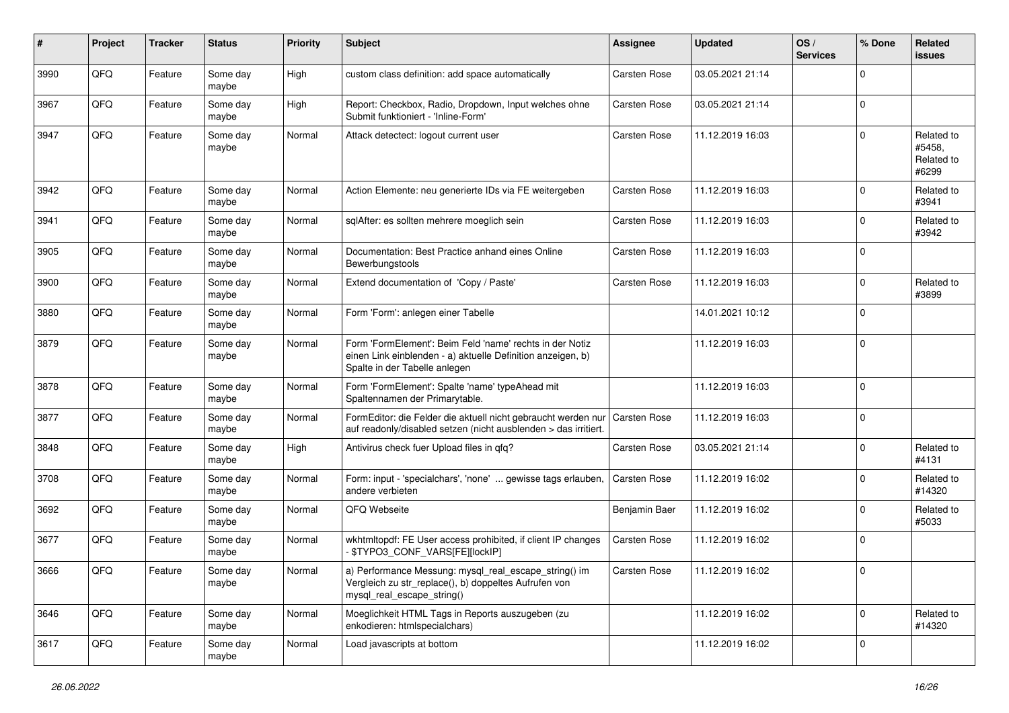| $\#$ | Project | <b>Tracker</b> | <b>Status</b>     | <b>Priority</b> | <b>Subject</b>                                                                                                                                           | Assignee            | <b>Updated</b>   | OS/<br><b>Services</b> | % Done      | Related<br>issues                           |
|------|---------|----------------|-------------------|-----------------|----------------------------------------------------------------------------------------------------------------------------------------------------------|---------------------|------------------|------------------------|-------------|---------------------------------------------|
| 3990 | QFQ     | Feature        | Some day<br>maybe | High            | custom class definition: add space automatically                                                                                                         | <b>Carsten Rose</b> | 03.05.2021 21:14 |                        | $\Omega$    |                                             |
| 3967 | QFQ     | Feature        | Some day<br>maybe | High            | Report: Checkbox, Radio, Dropdown, Input welches ohne<br>Submit funktioniert - 'Inline-Form'                                                             | <b>Carsten Rose</b> | 03.05.2021 21:14 |                        | $\mathbf 0$ |                                             |
| 3947 | QFQ     | Feature        | Some day<br>maybe | Normal          | Attack detectect: logout current user                                                                                                                    | Carsten Rose        | 11.12.2019 16:03 |                        | $\Omega$    | Related to<br>#5458,<br>Related to<br>#6299 |
| 3942 | QFQ     | Feature        | Some day<br>maybe | Normal          | Action Elemente: neu generierte IDs via FE weitergeben                                                                                                   | <b>Carsten Rose</b> | 11.12.2019 16:03 |                        | $\Omega$    | Related to<br>#3941                         |
| 3941 | QFQ     | Feature        | Some day<br>maybe | Normal          | sqlAfter: es sollten mehrere moeglich sein                                                                                                               | <b>Carsten Rose</b> | 11.12.2019 16:03 |                        | $\Omega$    | Related to<br>#3942                         |
| 3905 | QFQ     | Feature        | Some day<br>maybe | Normal          | Documentation: Best Practice anhand eines Online<br>Bewerbungstools                                                                                      | <b>Carsten Rose</b> | 11.12.2019 16:03 |                        | $\Omega$    |                                             |
| 3900 | QFQ     | Feature        | Some day<br>maybe | Normal          | Extend documentation of 'Copy / Paste'                                                                                                                   | Carsten Rose        | 11.12.2019 16:03 |                        | $\Omega$    | Related to<br>#3899                         |
| 3880 | QFQ     | Feature        | Some day<br>maybe | Normal          | Form 'Form': anlegen einer Tabelle                                                                                                                       |                     | 14.01.2021 10:12 |                        | $\Omega$    |                                             |
| 3879 | QFQ     | Feature        | Some day<br>maybe | Normal          | Form 'FormElement': Beim Feld 'name' rechts in der Notiz<br>einen Link einblenden - a) aktuelle Definition anzeigen, b)<br>Spalte in der Tabelle anlegen |                     | 11.12.2019 16:03 |                        | $\Omega$    |                                             |
| 3878 | QFQ     | Feature        | Some day<br>maybe | Normal          | Form 'FormElement': Spalte 'name' typeAhead mit<br>Spaltennamen der Primarytable.                                                                        |                     | 11.12.2019 16:03 |                        | $\Omega$    |                                             |
| 3877 | QFQ     | Feature        | Some day<br>maybe | Normal          | FormEditor: die Felder die aktuell nicht gebraucht werden nur<br>auf readonly/disabled setzen (nicht ausblenden > das irritiert.                         | Carsten Rose        | 11.12.2019 16:03 |                        | $\mathbf 0$ |                                             |
| 3848 | QFQ     | Feature        | Some day<br>maybe | High            | Antivirus check fuer Upload files in qfq?                                                                                                                | <b>Carsten Rose</b> | 03.05.2021 21:14 |                        | $\mathbf 0$ | Related to<br>#4131                         |
| 3708 | QFQ     | Feature        | Some day<br>maybe | Normal          | Form: input - 'specialchars', 'none'  gewisse tags erlauben,<br>andere verbieten                                                                         | <b>Carsten Rose</b> | 11.12.2019 16:02 |                        | $\Omega$    | Related to<br>#14320                        |
| 3692 | QFQ     | Feature        | Some day<br>maybe | Normal          | QFQ Webseite                                                                                                                                             | Benjamin Baer       | 11.12.2019 16:02 |                        | $\Omega$    | Related to<br>#5033                         |
| 3677 | QFQ     | Feature        | Some day<br>maybe | Normal          | wkhtmltopdf: FE User access prohibited, if client IP changes<br>\$TYPO3_CONF_VARS[FE][lockIP]                                                            | <b>Carsten Rose</b> | 11.12.2019 16:02 |                        | $\Omega$    |                                             |
| 3666 | QFQ     | Feature        | Some day<br>maybe | Normal          | a) Performance Messung: mysql_real_escape_string() im<br>Vergleich zu str_replace(), b) doppeltes Aufrufen von<br>mysql_real_escape_string()             | Carsten Rose        | 11.12.2019 16:02 |                        | ΙUΙ         |                                             |
| 3646 | QFQ     | Feature        | Some day<br>maybe | Normal          | Moeglichkeit HTML Tags in Reports auszugeben (zu<br>enkodieren: htmlspecialchars)                                                                        |                     | 11.12.2019 16:02 |                        | $\mathbf 0$ | Related to<br>#14320                        |
| 3617 | QFQ     | Feature        | Some day<br>maybe | Normal          | Load javascripts at bottom                                                                                                                               |                     | 11.12.2019 16:02 |                        | $\mathbf 0$ |                                             |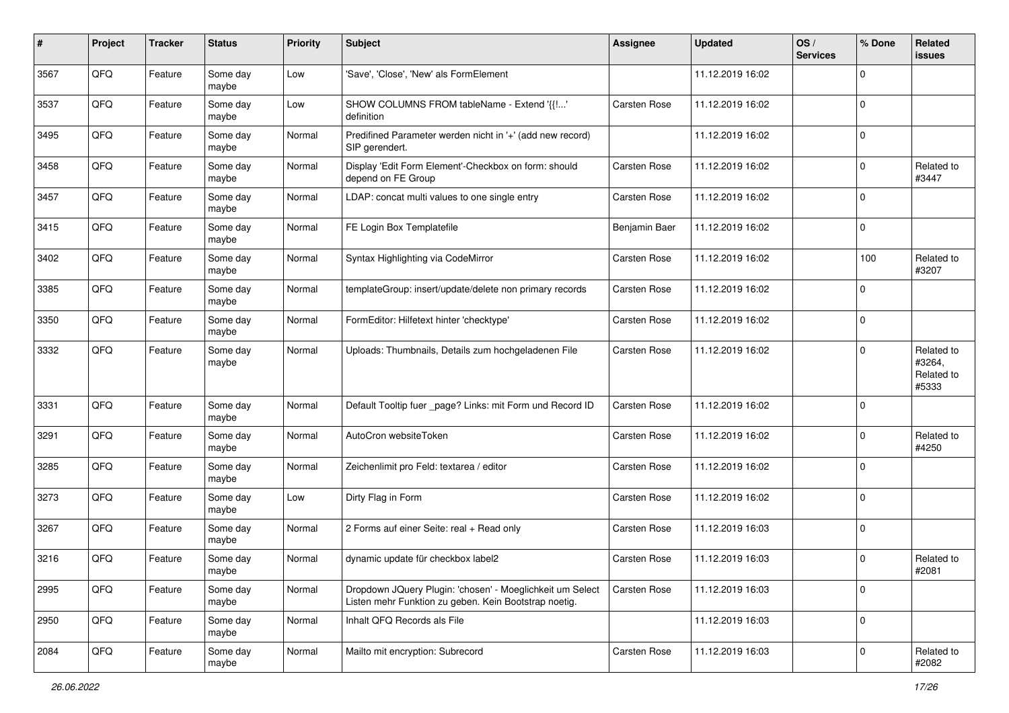| #    | Project | <b>Tracker</b> | <b>Status</b>     | <b>Priority</b> | <b>Subject</b>                                                                                                     | Assignee            | <b>Updated</b>   | OS/<br><b>Services</b> | % Done         | Related<br>issues                           |
|------|---------|----------------|-------------------|-----------------|--------------------------------------------------------------------------------------------------------------------|---------------------|------------------|------------------------|----------------|---------------------------------------------|
| 3567 | QFQ     | Feature        | Some day<br>maybe | Low             | 'Save', 'Close', 'New' als FormElement                                                                             |                     | 11.12.2019 16:02 |                        | $\Omega$       |                                             |
| 3537 | QFQ     | Feature        | Some day<br>maybe | Low             | SHOW COLUMNS FROM tableName - Extend '{{!'<br>definition                                                           | <b>Carsten Rose</b> | 11.12.2019 16:02 |                        | $\mathbf 0$    |                                             |
| 3495 | QFQ     | Feature        | Some day<br>maybe | Normal          | Predifined Parameter werden nicht in '+' (add new record)<br>SIP gerendert.                                        |                     | 11.12.2019 16:02 |                        | 0              |                                             |
| 3458 | QFQ     | Feature        | Some day<br>maybe | Normal          | Display 'Edit Form Element'-Checkbox on form: should<br>depend on FE Group                                         | <b>Carsten Rose</b> | 11.12.2019 16:02 |                        | $\Omega$       | Related to<br>#3447                         |
| 3457 | QFQ     | Feature        | Some day<br>maybe | Normal          | LDAP: concat multi values to one single entry                                                                      | <b>Carsten Rose</b> | 11.12.2019 16:02 |                        | $\mathbf 0$    |                                             |
| 3415 | QFQ     | Feature        | Some day<br>maybe | Normal          | FE Login Box Templatefile                                                                                          | Benjamin Baer       | 11.12.2019 16:02 |                        | $\Omega$       |                                             |
| 3402 | QFQ     | Feature        | Some day<br>maybe | Normal          | Syntax Highlighting via CodeMirror                                                                                 | <b>Carsten Rose</b> | 11.12.2019 16:02 |                        | 100            | Related to<br>#3207                         |
| 3385 | QFQ     | Feature        | Some day<br>maybe | Normal          | templateGroup: insert/update/delete non primary records                                                            | Carsten Rose        | 11.12.2019 16:02 |                        | $\Omega$       |                                             |
| 3350 | QFQ     | Feature        | Some day<br>maybe | Normal          | FormEditor: Hilfetext hinter 'checktype'                                                                           | <b>Carsten Rose</b> | 11.12.2019 16:02 |                        | 0              |                                             |
| 3332 | QFQ     | Feature        | Some day<br>maybe | Normal          | Uploads: Thumbnails, Details zum hochgeladenen File                                                                | <b>Carsten Rose</b> | 11.12.2019 16:02 |                        | $\Omega$       | Related to<br>#3264,<br>Related to<br>#5333 |
| 3331 | QFQ     | Feature        | Some day<br>maybe | Normal          | Default Tooltip fuer _page? Links: mit Form und Record ID                                                          | <b>Carsten Rose</b> | 11.12.2019 16:02 |                        | $\overline{0}$ |                                             |
| 3291 | QFQ     | Feature        | Some day<br>maybe | Normal          | AutoCron websiteToken                                                                                              | <b>Carsten Rose</b> | 11.12.2019 16:02 |                        | $\Omega$       | Related to<br>#4250                         |
| 3285 | QFQ     | Feature        | Some day<br>maybe | Normal          | Zeichenlimit pro Feld: textarea / editor                                                                           | <b>Carsten Rose</b> | 11.12.2019 16:02 |                        | $\Omega$       |                                             |
| 3273 | QFQ     | Feature        | Some day<br>maybe | Low             | Dirty Flag in Form                                                                                                 | Carsten Rose        | 11.12.2019 16:02 |                        | $\Omega$       |                                             |
| 3267 | QFQ     | Feature        | Some day<br>maybe | Normal          | 2 Forms auf einer Seite: real + Read only                                                                          | Carsten Rose        | 11.12.2019 16:03 |                        | $\mathbf 0$    |                                             |
| 3216 | QFQ     | Feature        | Some day<br>maybe | Normal          | dynamic update für checkbox label2                                                                                 | Carsten Rose        | 11.12.2019 16:03 |                        | $\Omega$       | Related to<br>#2081                         |
| 2995 | QFQ     | Feature        | Some day<br>maybe | Normal          | Dropdown JQuery Plugin: 'chosen' - Moeglichkeit um Select<br>Listen mehr Funktion zu geben. Kein Bootstrap noetig. | <b>Carsten Rose</b> | 11.12.2019 16:03 |                        | 0              |                                             |
| 2950 | QFQ     | Feature        | Some day<br>maybe | Normal          | Inhalt QFQ Records als File                                                                                        |                     | 11.12.2019 16:03 |                        | 0              |                                             |
| 2084 | QFG     | Feature        | Some day<br>maybe | Normal          | Mailto mit encryption: Subrecord                                                                                   | Carsten Rose        | 11.12.2019 16:03 |                        | $\mathbf 0$    | Related to<br>#2082                         |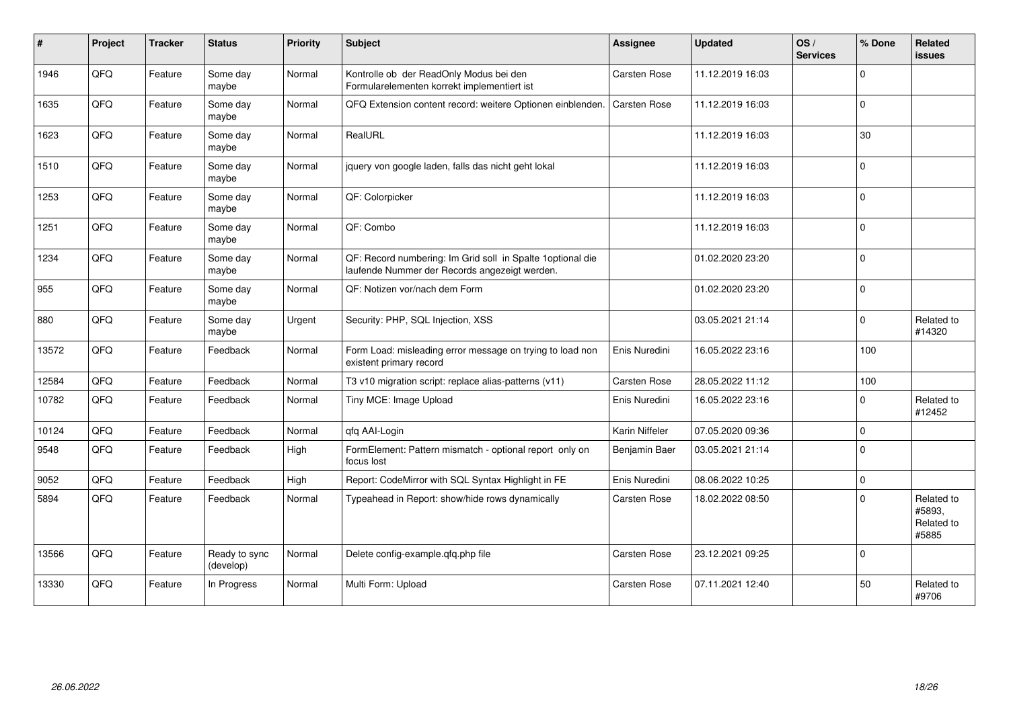| $\sharp$ | Project | <b>Tracker</b> | <b>Status</b>              | <b>Priority</b> | <b>Subject</b>                                                                                               | Assignee            | <b>Updated</b>   | OS/<br><b>Services</b> | % Done         | Related<br><b>issues</b>                    |
|----------|---------|----------------|----------------------------|-----------------|--------------------------------------------------------------------------------------------------------------|---------------------|------------------|------------------------|----------------|---------------------------------------------|
| 1946     | QFQ     | Feature        | Some day<br>maybe          | Normal          | Kontrolle ob der ReadOnly Modus bei den<br>Formularelementen korrekt implementiert ist                       | <b>Carsten Rose</b> | 11.12.2019 16:03 |                        | $\Omega$       |                                             |
| 1635     | QFQ     | Feature        | Some day<br>maybe          | Normal          | QFQ Extension content record: weitere Optionen einblenden.                                                   | <b>Carsten Rose</b> | 11.12.2019 16:03 |                        | $\mathbf 0$    |                                             |
| 1623     | QFQ     | Feature        | Some day<br>maybe          | Normal          | RealURL                                                                                                      |                     | 11.12.2019 16:03 |                        | 30             |                                             |
| 1510     | QFQ     | Feature        | Some day<br>maybe          | Normal          | jquery von google laden, falls das nicht geht lokal                                                          |                     | 11.12.2019 16:03 |                        | $\Omega$       |                                             |
| 1253     | QFQ     | Feature        | Some day<br>maybe          | Normal          | QF: Colorpicker                                                                                              |                     | 11.12.2019 16:03 |                        | $\mathbf 0$    |                                             |
| 1251     | QFQ     | Feature        | Some day<br>maybe          | Normal          | QF: Combo                                                                                                    |                     | 11.12.2019 16:03 |                        | 0              |                                             |
| 1234     | QFQ     | Feature        | Some day<br>maybe          | Normal          | QF: Record numbering: Im Grid soll in Spalte 1 optional die<br>laufende Nummer der Records angezeigt werden. |                     | 01.02.2020 23:20 |                        | $\overline{0}$ |                                             |
| 955      | QFQ     | Feature        | Some day<br>maybe          | Normal          | QF: Notizen vor/nach dem Form                                                                                |                     | 01.02.2020 23:20 |                        | $\mathbf 0$    |                                             |
| 880      | QFG     | Feature        | Some day<br>maybe          | Urgent          | Security: PHP, SQL Injection, XSS                                                                            |                     | 03.05.2021 21:14 |                        | $\mathbf 0$    | Related to<br>#14320                        |
| 13572    | QFQ     | Feature        | Feedback                   | Normal          | Form Load: misleading error message on trying to load non<br>existent primary record                         | Enis Nuredini       | 16.05.2022 23:16 |                        | 100            |                                             |
| 12584    | QFQ     | Feature        | Feedback                   | Normal          | T3 v10 migration script: replace alias-patterns (v11)                                                        | Carsten Rose        | 28.05.2022 11:12 |                        | 100            |                                             |
| 10782    | QFQ     | Feature        | Feedback                   | Normal          | Tiny MCE: Image Upload                                                                                       | Enis Nuredini       | 16.05.2022 23:16 |                        | $\Omega$       | Related to<br>#12452                        |
| 10124    | QFQ     | Feature        | Feedback                   | Normal          | qfq AAI-Login                                                                                                | Karin Niffeler      | 07.05.2020 09:36 |                        | $\mathbf 0$    |                                             |
| 9548     | QFQ     | Feature        | Feedback                   | High            | FormElement: Pattern mismatch - optional report only on<br>focus lost                                        | Benjamin Baer       | 03.05.2021 21:14 |                        | $\overline{0}$ |                                             |
| 9052     | QFQ     | Feature        | Feedback                   | High            | Report: CodeMirror with SQL Syntax Highlight in FE                                                           | Enis Nuredini       | 08.06.2022 10:25 |                        | $\mathbf 0$    |                                             |
| 5894     | QFQ     | Feature        | Feedback                   | Normal          | Typeahead in Report: show/hide rows dynamically                                                              | Carsten Rose        | 18.02.2022 08:50 |                        | $\Omega$       | Related to<br>#5893,<br>Related to<br>#5885 |
| 13566    | QFQ     | Feature        | Ready to sync<br>(develop) | Normal          | Delete config-example.qfq.php file                                                                           | <b>Carsten Rose</b> | 23.12.2021 09:25 |                        | $\mathbf 0$    |                                             |
| 13330    | QFQ     | Feature        | In Progress                | Normal          | Multi Form: Upload                                                                                           | Carsten Rose        | 07.11.2021 12:40 |                        | 50             | Related to<br>#9706                         |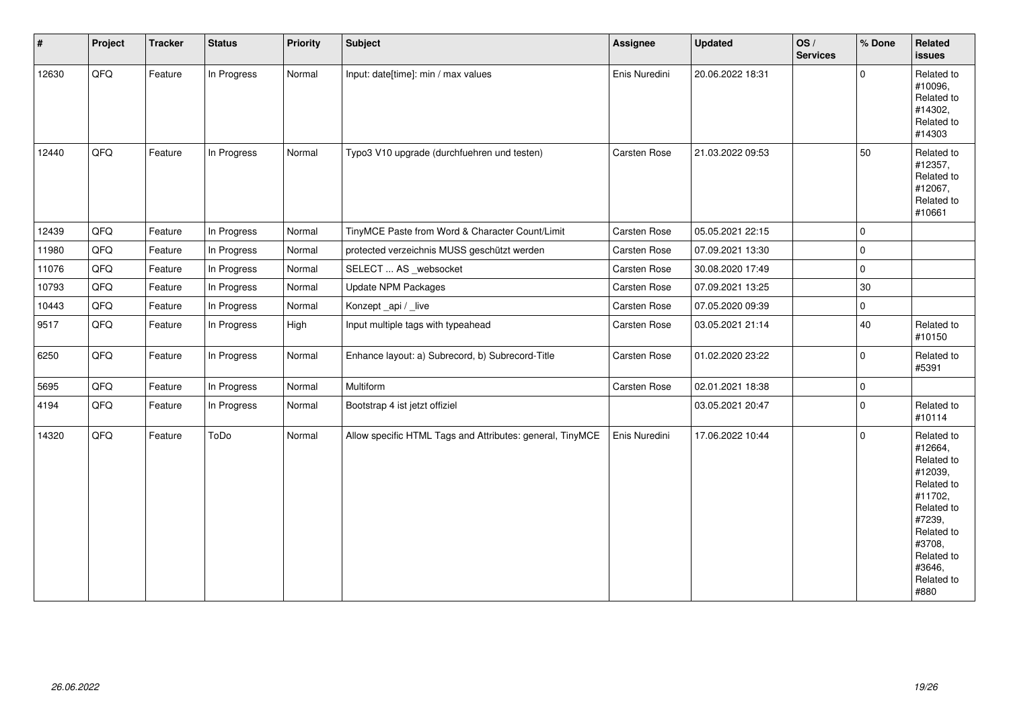| $\vert$ # | Project | <b>Tracker</b> | <b>Status</b> | <b>Priority</b> | <b>Subject</b>                                            | Assignee      | <b>Updated</b>   | OS/<br><b>Services</b> | % Done      | Related<br>issues                                                                                                                                                     |
|-----------|---------|----------------|---------------|-----------------|-----------------------------------------------------------|---------------|------------------|------------------------|-------------|-----------------------------------------------------------------------------------------------------------------------------------------------------------------------|
| 12630     | QFQ     | Feature        | In Progress   | Normal          | Input: date[time]: min / max values                       | Enis Nuredini | 20.06.2022 18:31 |                        | $\mathbf 0$ | Related to<br>#10096,<br>Related to<br>#14302,<br>Related to<br>#14303                                                                                                |
| 12440     | QFQ     | Feature        | In Progress   | Normal          | Typo3 V10 upgrade (durchfuehren und testen)               | Carsten Rose  | 21.03.2022 09:53 |                        | 50          | Related to<br>#12357,<br>Related to<br>#12067,<br>Related to<br>#10661                                                                                                |
| 12439     | QFQ     | Feature        | In Progress   | Normal          | TinyMCE Paste from Word & Character Count/Limit           | Carsten Rose  | 05.05.2021 22:15 |                        | $\mathbf 0$ |                                                                                                                                                                       |
| 11980     | QFQ     | Feature        | In Progress   | Normal          | protected verzeichnis MUSS geschützt werden               | Carsten Rose  | 07.09.2021 13:30 |                        | $\mathbf 0$ |                                                                                                                                                                       |
| 11076     | QFQ     | Feature        | In Progress   | Normal          | SELECT  AS _websocket                                     | Carsten Rose  | 30.08.2020 17:49 |                        | $\mathbf 0$ |                                                                                                                                                                       |
| 10793     | QFQ     | Feature        | In Progress   | Normal          | <b>Update NPM Packages</b>                                | Carsten Rose  | 07.09.2021 13:25 |                        | 30          |                                                                                                                                                                       |
| 10443     | QFQ     | Feature        | In Progress   | Normal          | Konzept_api / _live                                       | Carsten Rose  | 07.05.2020 09:39 |                        | $\mathbf 0$ |                                                                                                                                                                       |
| 9517      | QFQ     | Feature        | In Progress   | High            | Input multiple tags with typeahead                        | Carsten Rose  | 03.05.2021 21:14 |                        | 40          | Related to<br>#10150                                                                                                                                                  |
| 6250      | QFQ     | Feature        | In Progress   | Normal          | Enhance layout: a) Subrecord, b) Subrecord-Title          | Carsten Rose  | 01.02.2020 23:22 |                        | $\mathbf 0$ | Related to<br>#5391                                                                                                                                                   |
| 5695      | QFQ     | Feature        | In Progress   | Normal          | Multiform                                                 | Carsten Rose  | 02.01.2021 18:38 |                        | 0           |                                                                                                                                                                       |
| 4194      | QFQ     | Feature        | In Progress   | Normal          | Bootstrap 4 ist jetzt offiziel                            |               | 03.05.2021 20:47 |                        | $\mathbf 0$ | Related to<br>#10114                                                                                                                                                  |
| 14320     | QFQ     | Feature        | ToDo          | Normal          | Allow specific HTML Tags and Attributes: general, TinyMCE | Enis Nuredini | 17.06.2022 10:44 |                        | $\Omega$    | Related to<br>#12664,<br>Related to<br>#12039,<br>Related to<br>#11702,<br>Related to<br>#7239,<br>Related to<br>#3708,<br>Related to<br>#3646,<br>Related to<br>#880 |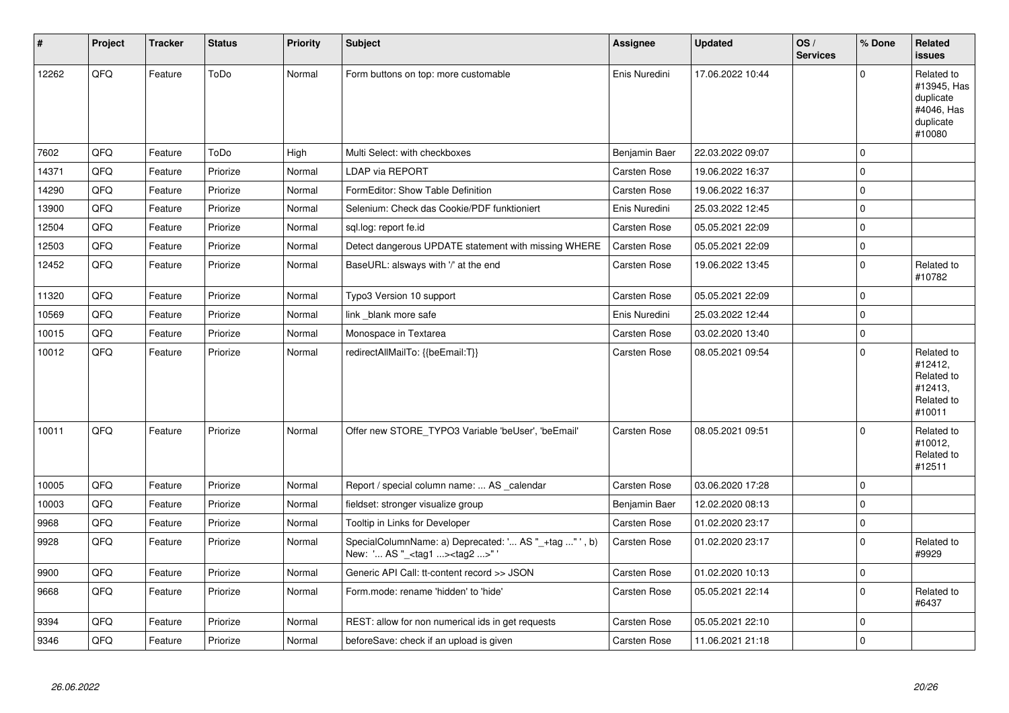| $\vert$ # | Project | <b>Tracker</b> | <b>Status</b> | <b>Priority</b> | <b>Subject</b>                                                                                    | <b>Assignee</b>     | <b>Updated</b>   | OS/<br><b>Services</b> | % Done         | Related<br><b>issues</b>                                                    |
|-----------|---------|----------------|---------------|-----------------|---------------------------------------------------------------------------------------------------|---------------------|------------------|------------------------|----------------|-----------------------------------------------------------------------------|
| 12262     | QFQ     | Feature        | ToDo          | Normal          | Form buttons on top: more customable                                                              | Enis Nuredini       | 17.06.2022 10:44 |                        | $\Omega$       | Related to<br>#13945, Has<br>duplicate<br>#4046, Has<br>duplicate<br>#10080 |
| 7602      | QFQ     | Feature        | ToDo          | High            | Multi Select: with checkboxes                                                                     | Benjamin Baer       | 22.03.2022 09:07 |                        | $\mathbf 0$    |                                                                             |
| 14371     | QFQ     | Feature        | Priorize      | Normal          | <b>LDAP via REPORT</b>                                                                            | <b>Carsten Rose</b> | 19.06.2022 16:37 |                        | $\Omega$       |                                                                             |
| 14290     | QFQ     | Feature        | Priorize      | Normal          | FormEditor: Show Table Definition                                                                 | Carsten Rose        | 19.06.2022 16:37 |                        | 0              |                                                                             |
| 13900     | QFQ     | Feature        | Priorize      | Normal          | Selenium: Check das Cookie/PDF funktioniert                                                       | Enis Nuredini       | 25.03.2022 12:45 |                        | $\mathbf 0$    |                                                                             |
| 12504     | QFQ     | Feature        | Priorize      | Normal          | sql.log: report fe.id                                                                             | <b>Carsten Rose</b> | 05.05.2021 22:09 |                        | $\Omega$       |                                                                             |
| 12503     | QFQ     | Feature        | Priorize      | Normal          | Detect dangerous UPDATE statement with missing WHERE                                              | <b>Carsten Rose</b> | 05.05.2021 22:09 |                        | $\mathbf 0$    |                                                                             |
| 12452     | QFQ     | Feature        | Priorize      | Normal          | BaseURL: alsways with '/' at the end                                                              | <b>Carsten Rose</b> | 19.06.2022 13:45 |                        | $\Omega$       | Related to<br>#10782                                                        |
| 11320     | QFQ     | Feature        | Priorize      | Normal          | Typo3 Version 10 support                                                                          | <b>Carsten Rose</b> | 05.05.2021 22:09 |                        | 0              |                                                                             |
| 10569     | QFQ     | Feature        | Priorize      | Normal          | link_blank more safe                                                                              | Enis Nuredini       | 25.03.2022 12:44 |                        | $\Omega$       |                                                                             |
| 10015     | QFQ     | Feature        | Priorize      | Normal          | Monospace in Textarea                                                                             | <b>Carsten Rose</b> | 03.02.2020 13:40 |                        | $\mathbf 0$    |                                                                             |
| 10012     | QFQ     | Feature        | Priorize      | Normal          | redirectAllMailTo: {{beEmail:T}}                                                                  | <b>Carsten Rose</b> | 08.05.2021 09:54 |                        | $\Omega$       | Related to<br>#12412,<br>Related to<br>#12413,<br>Related to<br>#10011      |
| 10011     | QFQ     | Feature        | Priorize      | Normal          | Offer new STORE_TYPO3 Variable 'beUser', 'beEmail'                                                | <b>Carsten Rose</b> | 08.05.2021 09:51 |                        | $\Omega$       | Related to<br>#10012,<br>Related to<br>#12511                               |
| 10005     | QFQ     | Feature        | Priorize      | Normal          | Report / special column name:  AS calendar                                                        | Carsten Rose        | 03.06.2020 17:28 |                        | $\overline{0}$ |                                                                             |
| 10003     | QFQ     | Feature        | Priorize      | Normal          | fieldset: stronger visualize group                                                                | Benjamin Baer       | 12.02.2020 08:13 |                        | $\Omega$       |                                                                             |
| 9968      | QFQ     | Feature        | Priorize      | Normal          | Tooltip in Links for Developer                                                                    | <b>Carsten Rose</b> | 01.02.2020 23:17 |                        | $\mathbf 0$    |                                                                             |
| 9928      | QFQ     | Feature        | Priorize      | Normal          | SpecialColumnName: a) Deprecated: ' AS "_+tag " ', b)<br>New: ' AS "_ <tag1><tag2>"</tag2></tag1> | Carsten Rose        | 01.02.2020 23:17 |                        | $\Omega$       | Related to<br>#9929                                                         |
| 9900      | QFQ     | Feature        | Priorize      | Normal          | Generic API Call: tt-content record >> JSON                                                       | Carsten Rose        | 01.02.2020 10:13 |                        | $\mathbf 0$    |                                                                             |
| 9668      | QFQ     | Feature        | Priorize      | Normal          | Form.mode: rename 'hidden' to 'hide'                                                              | Carsten Rose        | 05.05.2021 22:14 |                        | $\Omega$       | Related to<br>#6437                                                         |
| 9394      | QFQ     | Feature        | Priorize      | Normal          | REST: allow for non numerical ids in get requests                                                 | Carsten Rose        | 05.05.2021 22:10 |                        | $\mathbf 0$    |                                                                             |
| 9346      | QFQ     | Feature        | Priorize      | Normal          | beforeSave: check if an upload is given                                                           | <b>Carsten Rose</b> | 11.06.2021 21:18 |                        | $\Omega$       |                                                                             |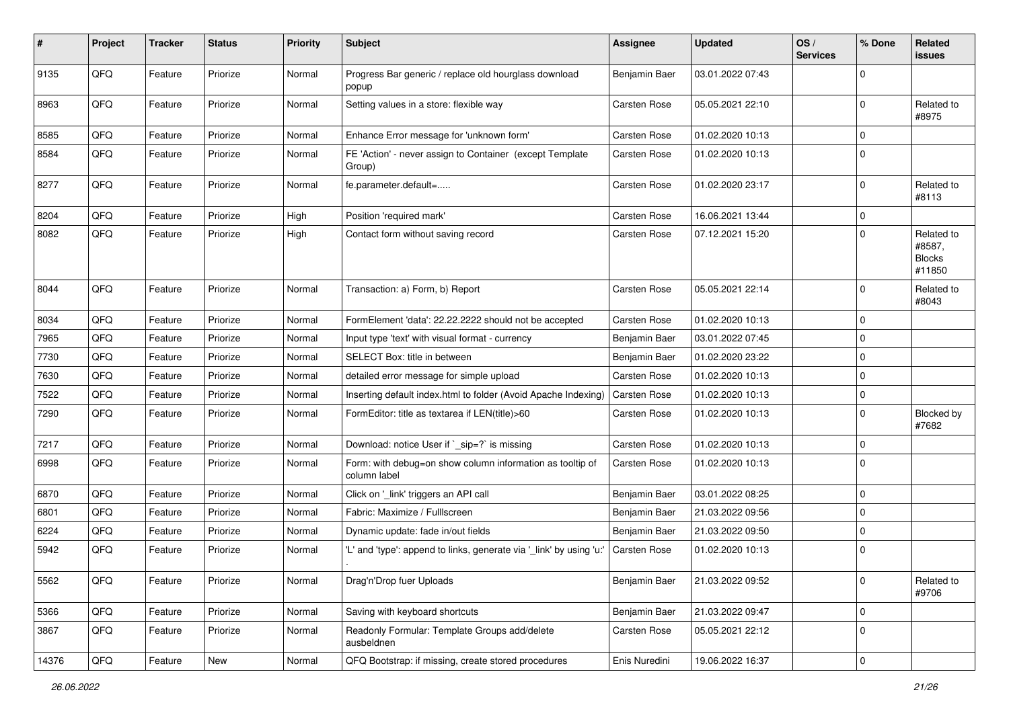| #     | Project | <b>Tracker</b> | <b>Status</b> | <b>Priority</b> | Subject                                                                   | <b>Assignee</b>     | <b>Updated</b>   | OS/<br><b>Services</b> | % Done      | Related<br>issues                               |
|-------|---------|----------------|---------------|-----------------|---------------------------------------------------------------------------|---------------------|------------------|------------------------|-------------|-------------------------------------------------|
| 9135  | QFQ     | Feature        | Priorize      | Normal          | Progress Bar generic / replace old hourglass download<br>popup            | Benjamin Baer       | 03.01.2022 07:43 |                        | $\Omega$    |                                                 |
| 8963  | QFQ     | Feature        | Priorize      | Normal          | Setting values in a store: flexible way                                   | <b>Carsten Rose</b> | 05.05.2021 22:10 |                        | $\Omega$    | Related to<br>#8975                             |
| 8585  | QFQ     | Feature        | Priorize      | Normal          | Enhance Error message for 'unknown form'                                  | <b>Carsten Rose</b> | 01.02.2020 10:13 |                        | $\Omega$    |                                                 |
| 8584  | QFQ     | Feature        | Priorize      | Normal          | FE 'Action' - never assign to Container (except Template<br>Group)        | Carsten Rose        | 01.02.2020 10:13 |                        | $\Omega$    |                                                 |
| 8277  | QFQ     | Feature        | Priorize      | Normal          | fe.parameter.default=                                                     | Carsten Rose        | 01.02.2020 23:17 |                        | $\Omega$    | Related to<br>#8113                             |
| 8204  | QFQ     | Feature        | Priorize      | High            | Position 'required mark'                                                  | <b>Carsten Rose</b> | 16.06.2021 13:44 |                        | $\mathbf 0$ |                                                 |
| 8082  | QFQ     | Feature        | Priorize      | High            | Contact form without saving record                                        | <b>Carsten Rose</b> | 07.12.2021 15:20 |                        | $\Omega$    | Related to<br>#8587,<br><b>Blocks</b><br>#11850 |
| 8044  | QFQ     | Feature        | Priorize      | Normal          | Transaction: a) Form, b) Report                                           | Carsten Rose        | 05.05.2021 22:14 |                        | 0           | Related to<br>#8043                             |
| 8034  | QFQ     | Feature        | Priorize      | Normal          | FormElement 'data': 22.22.2222 should not be accepted                     | Carsten Rose        | 01.02.2020 10:13 |                        | $\Omega$    |                                                 |
| 7965  | QFQ     | Feature        | Priorize      | Normal          | Input type 'text' with visual format - currency                           | Benjamin Baer       | 03.01.2022 07:45 |                        | $\Omega$    |                                                 |
| 7730  | QFQ     | Feature        | Priorize      | Normal          | SELECT Box: title in between                                              | Benjamin Baer       | 01.02.2020 23:22 |                        | $\Omega$    |                                                 |
| 7630  | QFQ     | Feature        | Priorize      | Normal          | detailed error message for simple upload                                  | <b>Carsten Rose</b> | 01.02.2020 10:13 |                        | $\Omega$    |                                                 |
| 7522  | QFQ     | Feature        | Priorize      | Normal          | Inserting default index.html to folder (Avoid Apache Indexing)            | <b>Carsten Rose</b> | 01.02.2020 10:13 |                        | $\mathbf 0$ |                                                 |
| 7290  | QFQ     | Feature        | Priorize      | Normal          | FormEditor: title as textarea if LEN(title)>60                            | Carsten Rose        | 01.02.2020 10:13 |                        | $\Omega$    | Blocked by<br>#7682                             |
| 7217  | QFQ     | Feature        | Priorize      | Normal          | Download: notice User if ` sip=?` is missing                              | <b>Carsten Rose</b> | 01.02.2020 10:13 |                        | $\Omega$    |                                                 |
| 6998  | QFQ     | Feature        | Priorize      | Normal          | Form: with debug=on show column information as tooltip of<br>column label | <b>Carsten Rose</b> | 01.02.2020 10:13 |                        | $\mathbf 0$ |                                                 |
| 6870  | QFQ     | Feature        | Priorize      | Normal          | Click on '_link' triggers an API call                                     | Benjamin Baer       | 03.01.2022 08:25 |                        | $\Omega$    |                                                 |
| 6801  | QFQ     | Feature        | Priorize      | Normal          | Fabric: Maximize / Fulllscreen                                            | Benjamin Baer       | 21.03.2022 09:56 |                        | $\Omega$    |                                                 |
| 6224  | QFQ     | Feature        | Priorize      | Normal          | Dynamic update: fade in/out fields                                        | Benjamin Baer       | 21.03.2022 09:50 |                        | $\Omega$    |                                                 |
| 5942  | QFQ     | Feature        | Priorize      | Normal          | 'L' and 'type': append to links, generate via '_link' by using 'u:        | Carsten Rose        | 01.02.2020 10:13 |                        | $\Omega$    |                                                 |
| 5562  | QFG     | Feature        | Priorize      | Normal          | Drag'n'Drop fuer Uploads                                                  | Benjamin Baer       | 21.03.2022 09:52 |                        | $\mathbf 0$ | Related to<br>#9706                             |
| 5366  | QFQ     | Feature        | Priorize      | Normal          | Saving with keyboard shortcuts                                            | Benjamin Baer       | 21.03.2022 09:47 |                        | $\mathbf 0$ |                                                 |
| 3867  | QFQ     | Feature        | Priorize      | Normal          | Readonly Formular: Template Groups add/delete<br>ausbeldnen               | Carsten Rose        | 05.05.2021 22:12 |                        | 0           |                                                 |
| 14376 | QFQ     | Feature        | New           | Normal          | QFQ Bootstrap: if missing, create stored procedures                       | Enis Nuredini       | 19.06.2022 16:37 |                        | 0           |                                                 |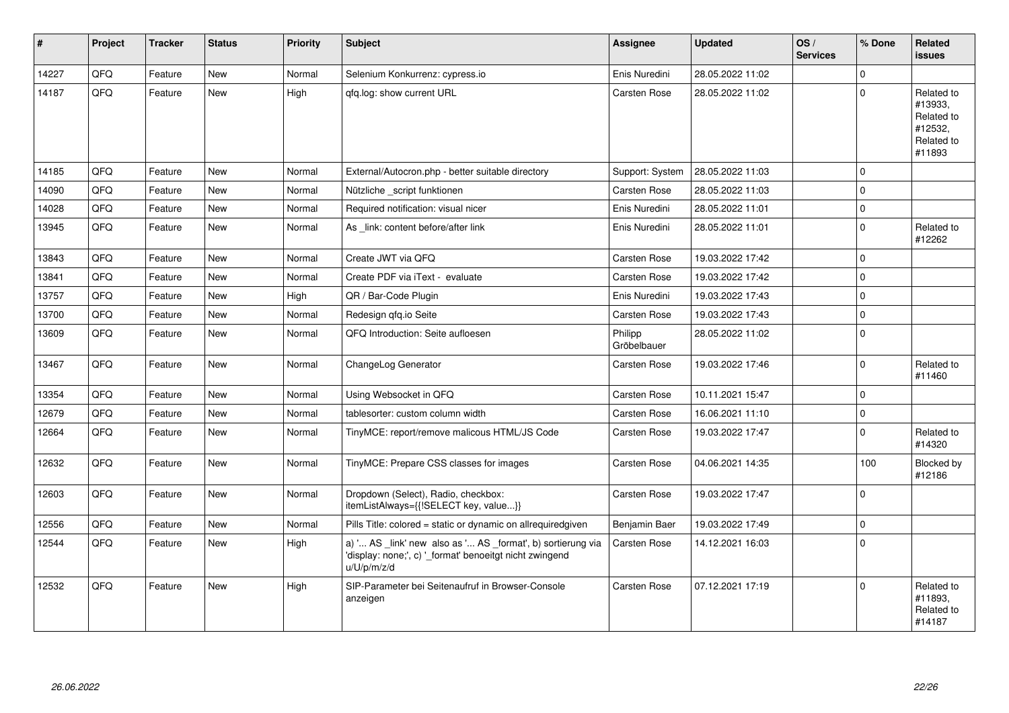| #     | Project | <b>Tracker</b> | <b>Status</b> | <b>Priority</b> | <b>Subject</b>                                                                                                                        | Assignee               | <b>Updated</b>   | OS/<br><b>Services</b> | % Done         | Related<br>issues                                                      |
|-------|---------|----------------|---------------|-----------------|---------------------------------------------------------------------------------------------------------------------------------------|------------------------|------------------|------------------------|----------------|------------------------------------------------------------------------|
| 14227 | QFQ     | Feature        | <b>New</b>    | Normal          | Selenium Konkurrenz: cypress.io                                                                                                       | Enis Nuredini          | 28.05.2022 11:02 |                        | $\Omega$       |                                                                        |
| 14187 | QFQ     | Feature        | New           | High            | gfg.log: show current URL                                                                                                             | <b>Carsten Rose</b>    | 28.05.2022 11:02 |                        | $\Omega$       | Related to<br>#13933,<br>Related to<br>#12532,<br>Related to<br>#11893 |
| 14185 | QFQ     | Feature        | <b>New</b>    | Normal          | External/Autocron.php - better suitable directory                                                                                     | Support: System        | 28.05.2022 11:03 |                        | $\Omega$       |                                                                        |
| 14090 | QFQ     | Feature        | <b>New</b>    | Normal          | Nützliche script funktionen                                                                                                           | Carsten Rose           | 28.05.2022 11:03 |                        | $\Omega$       |                                                                        |
| 14028 | QFQ     | Feature        | <b>New</b>    | Normal          | Required notification: visual nicer                                                                                                   | Enis Nuredini          | 28.05.2022 11:01 |                        | $\mathbf 0$    |                                                                        |
| 13945 | QFQ     | Feature        | <b>New</b>    | Normal          | As link: content before/after link                                                                                                    | Enis Nuredini          | 28.05.2022 11:01 |                        | $\mathbf 0$    | Related to<br>#12262                                                   |
| 13843 | QFQ     | Feature        | New           | Normal          | Create JWT via QFQ                                                                                                                    | Carsten Rose           | 19.03.2022 17:42 |                        | $\Omega$       |                                                                        |
| 13841 | QFQ     | Feature        | <b>New</b>    | Normal          | Create PDF via iText - evaluate                                                                                                       | <b>Carsten Rose</b>    | 19.03.2022 17:42 |                        | $\Omega$       |                                                                        |
| 13757 | QFQ     | Feature        | <b>New</b>    | High            | QR / Bar-Code Plugin                                                                                                                  | Enis Nuredini          | 19.03.2022 17:43 |                        | $\Omega$       |                                                                        |
| 13700 | QFQ     | Feature        | <b>New</b>    | Normal          | Redesign gfg.io Seite                                                                                                                 | Carsten Rose           | 19.03.2022 17:43 |                        | $\Omega$       |                                                                        |
| 13609 | QFQ     | Feature        | <b>New</b>    | Normal          | QFQ Introduction: Seite aufloesen                                                                                                     | Philipp<br>Gröbelbauer | 28.05.2022 11:02 |                        | $\mathbf 0$    |                                                                        |
| 13467 | QFQ     | Feature        | <b>New</b>    | Normal          | ChangeLog Generator                                                                                                                   | Carsten Rose           | 19.03.2022 17:46 |                        | $\Omega$       | Related to<br>#11460                                                   |
| 13354 | QFQ     | Feature        | <b>New</b>    | Normal          | Using Websocket in QFQ                                                                                                                | <b>Carsten Rose</b>    | 10.11.2021 15:47 |                        | $\Omega$       |                                                                        |
| 12679 | QFQ     | Feature        | <b>New</b>    | Normal          | tablesorter: custom column width                                                                                                      | Carsten Rose           | 16.06.2021 11:10 |                        | $\Omega$       |                                                                        |
| 12664 | QFQ     | Feature        | <b>New</b>    | Normal          | TinyMCE: report/remove malicous HTML/JS Code                                                                                          | <b>Carsten Rose</b>    | 19.03.2022 17:47 |                        | $\Omega$       | Related to<br>#14320                                                   |
| 12632 | QFQ     | Feature        | New           | Normal          | TinyMCE: Prepare CSS classes for images                                                                                               | <b>Carsten Rose</b>    | 04.06.2021 14:35 |                        | 100            | Blocked by<br>#12186                                                   |
| 12603 | QFQ     | Feature        | <b>New</b>    | Normal          | Dropdown (Select), Radio, checkbox:<br>itemListAlways={{!SELECT key, value}}                                                          | Carsten Rose           | 19.03.2022 17:47 |                        | $\overline{0}$ |                                                                        |
| 12556 | QFQ     | Feature        | <b>New</b>    | Normal          | Pills Title: colored = static or dynamic on allrequiredgiven                                                                          | Benjamin Baer          | 19.03.2022 17:49 |                        | $\Omega$       |                                                                        |
| 12544 | QFQ     | Feature        | <b>New</b>    | High            | a) ' AS _link' new also as ' AS _format', b) sortierung via<br>'display: none;', c) '_format' benoeitgt nicht zwingend<br>u/U/p/m/z/d | <b>Carsten Rose</b>    | 14.12.2021 16:03 |                        | $\mathbf 0$    |                                                                        |
| 12532 | QFQ     | Feature        | <b>New</b>    | High            | SIP-Parameter bei Seitenaufruf in Browser-Console<br>anzeigen                                                                         | Carsten Rose           | 07.12.2021 17:19 |                        | $\Omega$       | Related to<br>#11893,<br>Related to<br>#14187                          |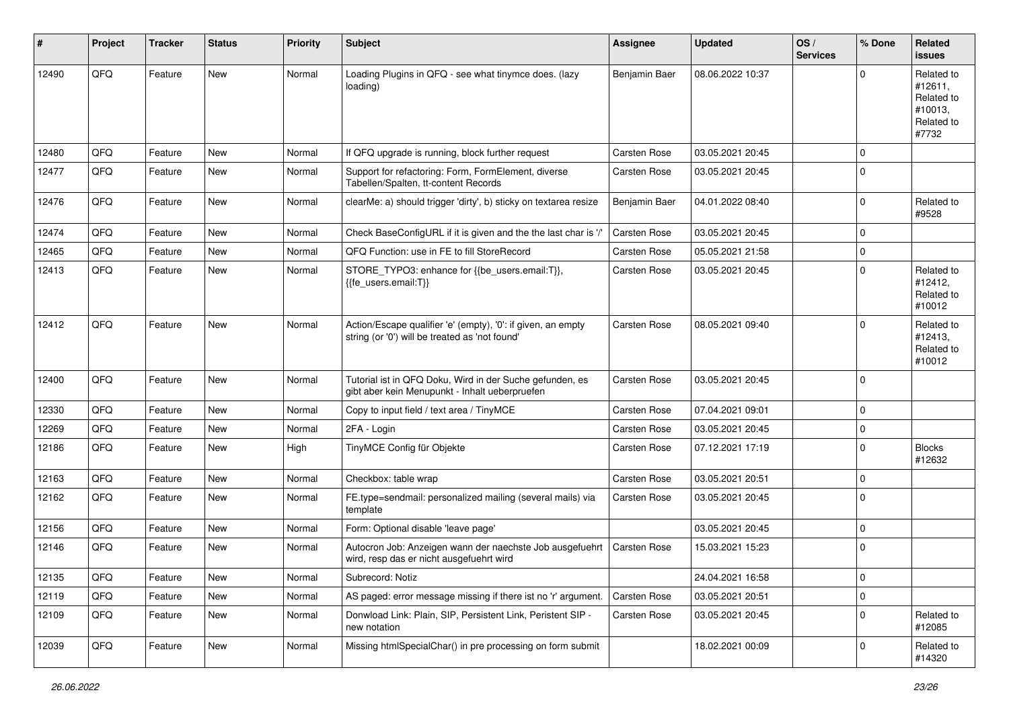| #     | Project | <b>Tracker</b> | <b>Status</b> | <b>Priority</b> | <b>Subject</b>                                                                                                 | <b>Assignee</b>     | <b>Updated</b>   | OS/<br><b>Services</b> | % Done      | Related<br><b>issues</b>                                              |
|-------|---------|----------------|---------------|-----------------|----------------------------------------------------------------------------------------------------------------|---------------------|------------------|------------------------|-------------|-----------------------------------------------------------------------|
| 12490 | QFQ     | Feature        | <b>New</b>    | Normal          | Loading Plugins in QFQ - see what tinymce does. (lazy<br>loading)                                              | Benjamin Baer       | 08.06.2022 10:37 |                        | $\Omega$    | Related to<br>#12611,<br>Related to<br>#10013,<br>Related to<br>#7732 |
| 12480 | QFQ     | Feature        | <b>New</b>    | Normal          | If QFQ upgrade is running, block further request                                                               | <b>Carsten Rose</b> | 03.05.2021 20:45 |                        | $\mathbf 0$ |                                                                       |
| 12477 | QFQ     | Feature        | New           | Normal          | Support for refactoring: Form, FormElement, diverse<br>Tabellen/Spalten, tt-content Records                    | Carsten Rose        | 03.05.2021 20:45 |                        | $\mathbf 0$ |                                                                       |
| 12476 | QFQ     | Feature        | <b>New</b>    | Normal          | clearMe: a) should trigger 'dirty', b) sticky on textarea resize                                               | Benjamin Baer       | 04.01.2022 08:40 |                        | $\mathbf 0$ | Related to<br>#9528                                                   |
| 12474 | QFQ     | Feature        | <b>New</b>    | Normal          | Check BaseConfigURL if it is given and the the last char is '/'                                                | <b>Carsten Rose</b> | 03.05.2021 20:45 |                        | $\mathbf 0$ |                                                                       |
| 12465 | QFQ     | Feature        | New           | Normal          | QFQ Function: use in FE to fill StoreRecord                                                                    | <b>Carsten Rose</b> | 05.05.2021 21:58 |                        | $\mathbf 0$ |                                                                       |
| 12413 | QFQ     | Feature        | New           | Normal          | STORE_TYPO3: enhance for {{be_users.email:T}},<br>{{fe_users.email:T}}                                         | Carsten Rose        | 03.05.2021 20:45 |                        | $\mathbf 0$ | Related to<br>#12412,<br>Related to<br>#10012                         |
| 12412 | QFQ     | Feature        | <b>New</b>    | Normal          | Action/Escape qualifier 'e' (empty), '0': if given, an empty<br>string (or '0') will be treated as 'not found' | Carsten Rose        | 08.05.2021 09:40 |                        | $\mathbf 0$ | Related to<br>#12413,<br>Related to<br>#10012                         |
| 12400 | QFQ     | Feature        | New           | Normal          | Tutorial ist in QFQ Doku, Wird in der Suche gefunden, es<br>gibt aber kein Menupunkt - Inhalt ueberpruefen     | <b>Carsten Rose</b> | 03.05.2021 20:45 |                        | $\mathbf 0$ |                                                                       |
| 12330 | QFQ     | Feature        | <b>New</b>    | Normal          | Copy to input field / text area / TinyMCE                                                                      | <b>Carsten Rose</b> | 07.04.2021 09:01 |                        | $\mathbf 0$ |                                                                       |
| 12269 | QFQ     | Feature        | New           | Normal          | 2FA - Login                                                                                                    | Carsten Rose        | 03.05.2021 20:45 |                        | $\mathbf 0$ |                                                                       |
| 12186 | QFQ     | Feature        | New           | High            | TinyMCE Config für Objekte                                                                                     | <b>Carsten Rose</b> | 07.12.2021 17:19 |                        | $\mathbf 0$ | <b>Blocks</b><br>#12632                                               |
| 12163 | QFQ     | Feature        | <b>New</b>    | Normal          | Checkbox: table wrap                                                                                           | <b>Carsten Rose</b> | 03.05.2021 20:51 |                        | $\mathbf 0$ |                                                                       |
| 12162 | QFQ     | Feature        | <b>New</b>    | Normal          | FE.type=sendmail: personalized mailing (several mails) via<br>template                                         | <b>Carsten Rose</b> | 03.05.2021 20:45 |                        | $\mathbf 0$ |                                                                       |
| 12156 | QFQ     | Feature        | <b>New</b>    | Normal          | Form: Optional disable 'leave page'                                                                            |                     | 03.05.2021 20:45 |                        | $\mathbf 0$ |                                                                       |
| 12146 | QFQ     | Feature        | New           | Normal          | Autocron Job: Anzeigen wann der naechste Job ausgefuehrt<br>wird, resp das er nicht ausgefuehrt wird           | Carsten Rose        | 15.03.2021 15:23 |                        | $\mathbf 0$ |                                                                       |
| 12135 | QFQ     | Feature        | New           | Normal          | Subrecord: Notiz                                                                                               |                     | 24.04.2021 16:58 |                        | $\pmb{0}$   |                                                                       |
| 12119 | QFQ     | Feature        | New           | Normal          | AS paged: error message missing if there ist no 'r' argument.                                                  | Carsten Rose        | 03.05.2021 20:51 |                        | $\pmb{0}$   |                                                                       |
| 12109 | QFQ     | Feature        | New           | Normal          | Donwload Link: Plain, SIP, Persistent Link, Peristent SIP -<br>new notation                                    | <b>Carsten Rose</b> | 03.05.2021 20:45 |                        | 0           | Related to<br>#12085                                                  |
| 12039 | QFQ     | Feature        | New           | Normal          | Missing htmlSpecialChar() in pre processing on form submit                                                     |                     | 18.02.2021 00:09 |                        | 0           | Related to<br>#14320                                                  |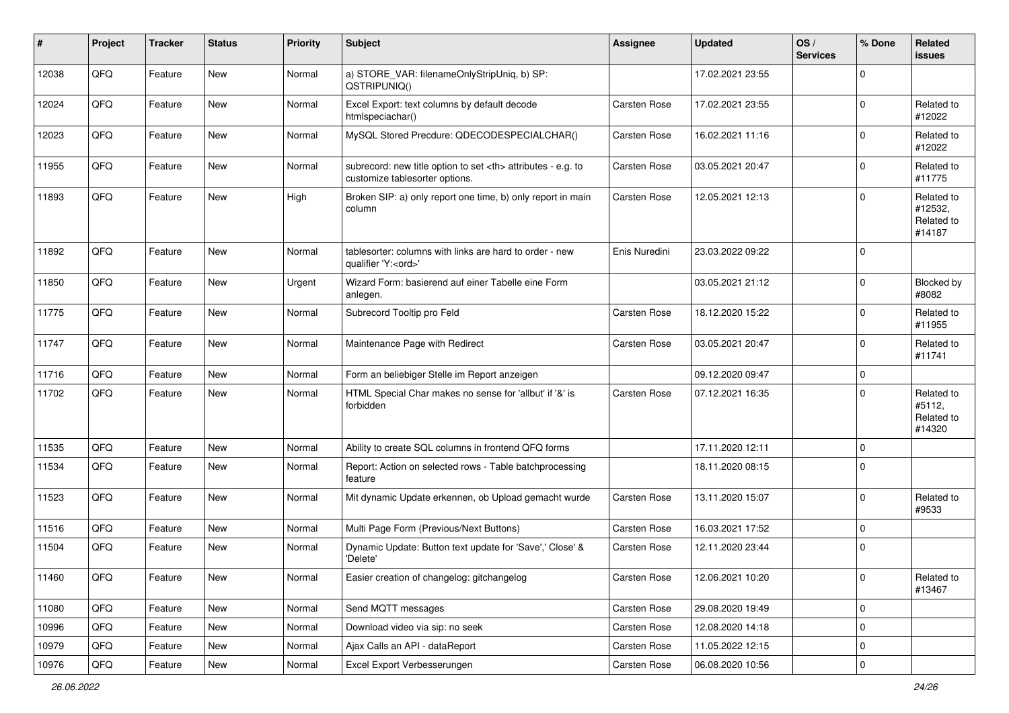| $\sharp$ | Project | <b>Tracker</b> | <b>Status</b> | <b>Priority</b> | <b>Subject</b>                                                                                       | Assignee                                               | <b>Updated</b>   | OS/<br><b>Services</b> | % Done      | Related<br>issues                             |                      |
|----------|---------|----------------|---------------|-----------------|------------------------------------------------------------------------------------------------------|--------------------------------------------------------|------------------|------------------------|-------------|-----------------------------------------------|----------------------|
| 12038    | QFQ     | Feature        | New           | Normal          | a) STORE_VAR: filenameOnlyStripUniq, b) SP:<br>QSTRIPUNIQ()                                          |                                                        | 17.02.2021 23:55 |                        | $\Omega$    |                                               |                      |
| 12024    | QFQ     | Feature        | New           | Normal          | Excel Export: text columns by default decode<br>htmlspeciachar()                                     | <b>Carsten Rose</b>                                    | 17.02.2021 23:55 |                        | 0           | Related to<br>#12022                          |                      |
| 12023    | QFQ     | Feature        | New           | Normal          | MySQL Stored Precdure: QDECODESPECIALCHAR()                                                          | Carsten Rose                                           | 16.02.2021 11:16 |                        | $\Omega$    | Related to<br>#12022                          |                      |
| 11955    | QFQ     | Feature        | New           | Normal          | subrecord: new title option to set <th> attributes - e.g. to<br/>customize tablesorter options.</th> | attributes - e.g. to<br>customize tablesorter options. | Carsten Rose     | 03.05.2021 20:47       |             | $\mathbf 0$                                   | Related to<br>#11775 |
| 11893    | QFQ     | Feature        | New           | High            | Broken SIP: a) only report one time, b) only report in main<br>column                                | <b>Carsten Rose</b>                                    | 12.05.2021 12:13 |                        | $\Omega$    | Related to<br>#12532,<br>Related to<br>#14187 |                      |
| 11892    | QFQ     | Feature        | New           | Normal          | tablesorter: columns with links are hard to order - new<br>qualifier 'Y: <ord>'</ord>                | Enis Nuredini                                          | 23.03.2022 09:22 |                        | 0           |                                               |                      |
| 11850    | QFQ     | Feature        | New           | Urgent          | Wizard Form: basierend auf einer Tabelle eine Form<br>anlegen.                                       |                                                        | 03.05.2021 21:12 |                        | 0           | Blocked by<br>#8082                           |                      |
| 11775    | QFQ     | Feature        | New           | Normal          | Subrecord Tooltip pro Feld                                                                           | <b>Carsten Rose</b>                                    | 18.12.2020 15:22 |                        | 0           | Related to<br>#11955                          |                      |
| 11747    | QFQ     | Feature        | New           | Normal          | Maintenance Page with Redirect                                                                       | <b>Carsten Rose</b>                                    | 03.05.2021 20:47 |                        | $\Omega$    | Related to<br>#11741                          |                      |
| 11716    | QFQ     | Feature        | New           | Normal          | Form an beliebiger Stelle im Report anzeigen                                                         |                                                        | 09.12.2020 09:47 |                        | $\mathbf 0$ |                                               |                      |
| 11702    | QFQ     | Feature        | New           | Normal          | HTML Special Char makes no sense for 'allbut' if '&' is<br>forbidden                                 | <b>Carsten Rose</b>                                    | 07.12.2021 16:35 |                        | $\Omega$    | Related to<br>#5112,<br>Related to<br>#14320  |                      |
| 11535    | QFQ     | Feature        | New           | Normal          | Ability to create SQL columns in frontend QFQ forms                                                  |                                                        | 17.11.2020 12:11 |                        | $\mathbf 0$ |                                               |                      |
| 11534    | QFQ     | Feature        | New           | Normal          | Report: Action on selected rows - Table batchprocessing<br>feature                                   |                                                        | 18.11.2020 08:15 |                        | l 0         |                                               |                      |
| 11523    | QFQ     | Feature        | New           | Normal          | Mit dynamic Update erkennen, ob Upload gemacht wurde                                                 | Carsten Rose                                           | 13.11.2020 15:07 |                        | $\Omega$    | Related to<br>#9533                           |                      |
| 11516    | QFQ     | Feature        | New           | Normal          | Multi Page Form (Previous/Next Buttons)                                                              | Carsten Rose                                           | 16.03.2021 17:52 |                        | l 0         |                                               |                      |
| 11504    | QFQ     | Feature        | New           | Normal          | Dynamic Update: Button text update for 'Save',' Close' &<br>'Delete'                                 | Carsten Rose                                           | 12.11.2020 23:44 |                        | 0           |                                               |                      |
| 11460    | QFQ     | Feature        | New           | Normal          | Easier creation of changelog: gitchangelog                                                           | Carsten Rose                                           | 12.06.2021 10:20 |                        | 0           | Related to<br>#13467                          |                      |
| 11080    | QFQ     | Feature        | New           | Normal          | Send MQTT messages                                                                                   | Carsten Rose                                           | 29.08.2020 19:49 |                        | $\mathbf 0$ |                                               |                      |
| 10996    | QFQ     | Feature        | New           | Normal          | Download video via sip: no seek                                                                      | Carsten Rose                                           | 12.08.2020 14:18 |                        | $\mathbf 0$ |                                               |                      |
| 10979    | QFQ     | Feature        | New           | Normal          | Ajax Calls an API - dataReport                                                                       | Carsten Rose                                           | 11.05.2022 12:15 |                        | 0           |                                               |                      |
| 10976    | QFQ     | Feature        | New           | Normal          | Excel Export Verbesserungen                                                                          | Carsten Rose                                           | 06.08.2020 10:56 |                        | 0           |                                               |                      |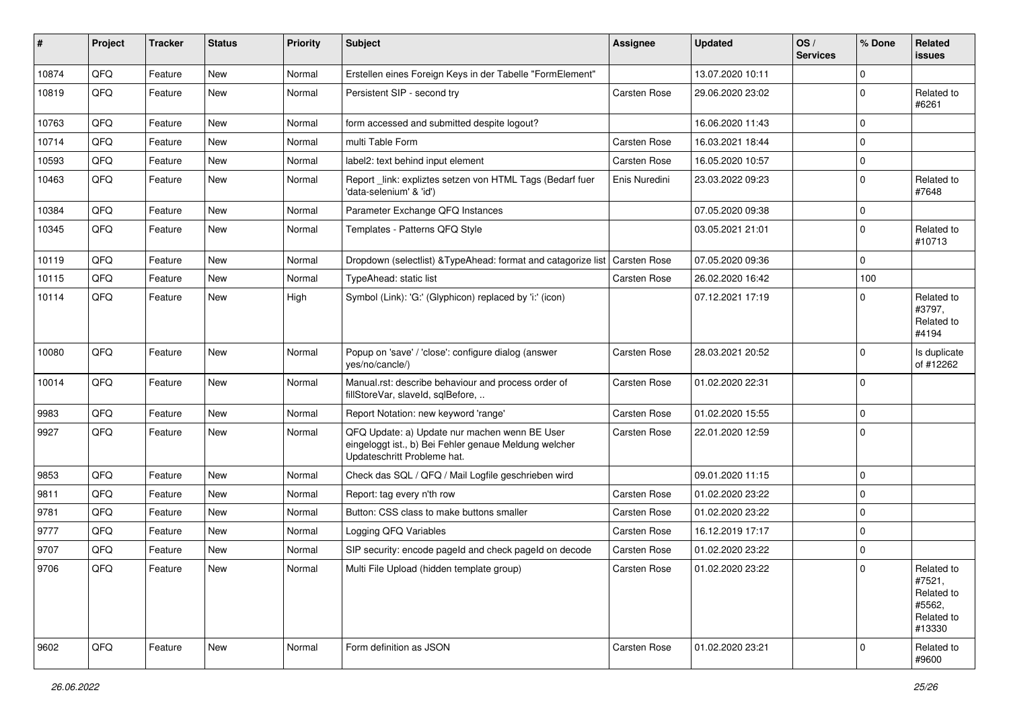| ∦     | Project | <b>Tracker</b> | <b>Status</b> | <b>Priority</b> | <b>Subject</b>                                                                                                                        | <b>Assignee</b>     | <b>Updated</b>   | OS/<br><b>Services</b> | % Done      | Related<br>issues                                                    |
|-------|---------|----------------|---------------|-----------------|---------------------------------------------------------------------------------------------------------------------------------------|---------------------|------------------|------------------------|-------------|----------------------------------------------------------------------|
| 10874 | QFQ     | Feature        | <b>New</b>    | Normal          | Erstellen eines Foreign Keys in der Tabelle "FormElement"                                                                             |                     | 13.07.2020 10:11 |                        | $\Omega$    |                                                                      |
| 10819 | QFQ     | Feature        | New           | Normal          | Persistent SIP - second try                                                                                                           | <b>Carsten Rose</b> | 29.06.2020 23:02 |                        | 0           | Related to<br>#6261                                                  |
| 10763 | QFQ     | Feature        | <b>New</b>    | Normal          | form accessed and submitted despite logout?                                                                                           |                     | 16.06.2020 11:43 |                        | $\Omega$    |                                                                      |
| 10714 | QFQ     | Feature        | <b>New</b>    | Normal          | multi Table Form                                                                                                                      | Carsten Rose        | 16.03.2021 18:44 |                        | $\Omega$    |                                                                      |
| 10593 | QFQ     | Feature        | <b>New</b>    | Normal          | label2: text behind input element                                                                                                     | <b>Carsten Rose</b> | 16.05.2020 10:57 |                        | $\Omega$    |                                                                      |
| 10463 | QFQ     | Feature        | New           | Normal          | Report link: expliztes setzen von HTML Tags (Bedarf fuer<br>'data-selenium' & 'id')                                                   | Enis Nuredini       | 23.03.2022 09:23 |                        | $\Omega$    | Related to<br>#7648                                                  |
| 10384 | QFQ     | Feature        | <b>New</b>    | Normal          | Parameter Exchange QFQ Instances                                                                                                      |                     | 07.05.2020 09:38 |                        | $\mathbf 0$ |                                                                      |
| 10345 | QFQ     | Feature        | New           | Normal          | Templates - Patterns QFQ Style                                                                                                        |                     | 03.05.2021 21:01 |                        | $\Omega$    | Related to<br>#10713                                                 |
| 10119 | QFQ     | Feature        | <b>New</b>    | Normal          | Dropdown (selectlist) & TypeAhead: format and catagorize list                                                                         | <b>Carsten Rose</b> | 07.05.2020 09:36 |                        | $\Omega$    |                                                                      |
| 10115 | QFQ     | Feature        | <b>New</b>    | Normal          | TypeAhead: static list                                                                                                                | <b>Carsten Rose</b> | 26.02.2020 16:42 |                        | 100         |                                                                      |
| 10114 | QFQ     | Feature        | <b>New</b>    | High            | Symbol (Link): 'G:' (Glyphicon) replaced by 'i:' (icon)                                                                               |                     | 07.12.2021 17:19 |                        | $\Omega$    | Related to<br>#3797,<br>Related to<br>#4194                          |
| 10080 | QFQ     | Feature        | New           | Normal          | Popup on 'save' / 'close': configure dialog (answer<br>yes/no/cancle/)                                                                | <b>Carsten Rose</b> | 28.03.2021 20:52 |                        | $\Omega$    | Is duplicate<br>of #12262                                            |
| 10014 | QFQ     | Feature        | <b>New</b>    | Normal          | Manual.rst: describe behaviour and process order of<br>fillStoreVar, slaveId, sqlBefore,                                              | <b>Carsten Rose</b> | 01.02.2020 22:31 |                        | $\Omega$    |                                                                      |
| 9983  | QFQ     | Feature        | <b>New</b>    | Normal          | Report Notation: new keyword 'range'                                                                                                  | <b>Carsten Rose</b> | 01.02.2020 15:55 |                        | $\Omega$    |                                                                      |
| 9927  | QFQ     | Feature        | <b>New</b>    | Normal          | QFQ Update: a) Update nur machen wenn BE User<br>eingeloggt ist., b) Bei Fehler genaue Meldung welcher<br>Updateschritt Probleme hat. | Carsten Rose        | 22.01.2020 12:59 |                        | 0           |                                                                      |
| 9853  | QFQ     | Feature        | <b>New</b>    | Normal          | Check das SQL / QFQ / Mail Logfile geschrieben wird                                                                                   |                     | 09.01.2020 11:15 |                        | $\Omega$    |                                                                      |
| 9811  | QFQ     | Feature        | New           | Normal          | Report: tag every n'th row                                                                                                            | <b>Carsten Rose</b> | 01.02.2020 23:22 |                        | $\Omega$    |                                                                      |
| 9781  | QFQ     | Feature        | <b>New</b>    | Normal          | Button: CSS class to make buttons smaller                                                                                             | <b>Carsten Rose</b> | 01.02.2020 23:22 |                        | $\Omega$    |                                                                      |
| 9777  | QFQ     | Feature        | New           | Normal          | Logging QFQ Variables                                                                                                                 | <b>Carsten Rose</b> | 16.12.2019 17:17 |                        | 0           |                                                                      |
| 9707  | QFQ     | Feature        | <b>New</b>    | Normal          | SIP security: encode pageld and check pageld on decode                                                                                | <b>Carsten Rose</b> | 01.02.2020 23:22 |                        | 0           |                                                                      |
| 9706  | QFQ     | Feature        | New           | Normal          | Multi File Upload (hidden template group)                                                                                             | Carsten Rose        | 01.02.2020 23:22 |                        | $\Omega$    | Related to<br>#7521,<br>Related to<br>#5562,<br>Related to<br>#13330 |
| 9602  | QFQ     | Feature        | New           | Normal          | Form definition as JSON                                                                                                               | Carsten Rose        | 01.02.2020 23:21 |                        | 0           | Related to<br>#9600                                                  |